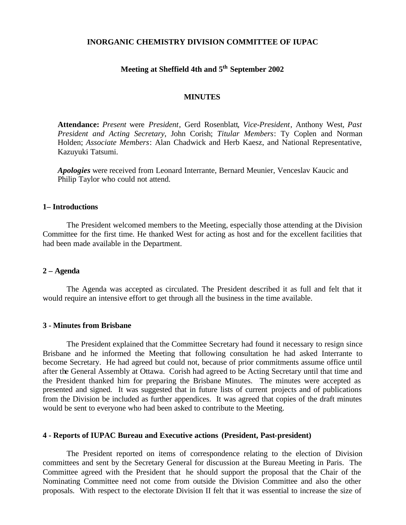#### **INORGANIC CHEMISTRY DIVISION COMMITTEE OF IUPAC**

#### **Meeting at Sheffield 4th and 5th September 2002**

#### **MINUTES**

**Attendance:** *Present* were *President*, Gerd Rosenblatt*, Vice-President*, Anthony West*, Past President and Acting Secretary*, John Corish; *Titular Members*: Ty Coplen and Norman Holden; *Associate Members*: Alan Chadwick and Herb Kaesz, and National Representative, Kazuyuki Tatsumi.

*Apologies* were received from Leonard Interrante, Bernard Meunier, Venceslav Kaucic and Philip Taylor who could not attend.

#### **1– Introductions**

The President welcomed members to the Meeting, especially those attending at the Division Committee for the first time. He thanked West for acting as host and for the excellent facilities that had been made available in the Department.

#### **2 – Agenda**

The Agenda was accepted as circulated. The President described it as full and felt that it would require an intensive effort to get through all the business in the time available.

#### **3 - Minutes from Brisbane**

The President explained that the Committee Secretary had found it necessary to resign since Brisbane and he informed the Meeting that following consultation he had asked Interrante to become Secretary. He had agreed but could not, because of prior commitments assume office until after the General Assembly at Ottawa. Corish had agreed to be Acting Secretary until that time and the President thanked him for preparing the Brisbane Minutes. The minutes were accepted as presented and signed. It was suggested that in future lists of current projects and of publications from the Division be included as further appendices. It was agreed that copies of the draft minutes would be sent to everyone who had been asked to contribute to the Meeting.

#### **4 - Reports of IUPAC Bureau and Executive actions (President, Past-president)**

The President reported on items of correspondence relating to the election of Division committees and sent by the Secretary General for discussion at the Bureau Meeting in Paris. The Committee agreed with the President that he should support the proposal that the Chair of the Nominating Committee need not come from outside the Division Committee and also the other proposals. With respect to the electorate Division II felt that it was essential to increase the size of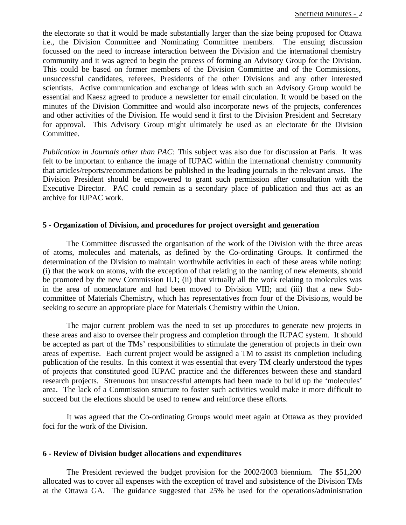the electorate so that it would be made substantially larger than the size being proposed for Ottawa i.e., the Division Committee and Nominating Committee members. The ensuing discussion focussed on the need to increase interaction between the Division and the international chemistry community and it was agreed to begin the process of forming an Advisory Group for the Division. This could be based on former members of the Division Committee and of the Commissions, unsuccessful candidates, referees, Presidents of the other Divisions and any other interested scientists. Active communication and exchange of ideas with such an Advisory Group would be essential and Kaesz agreed to produce a newsletter for email circulation. It would be based on the minutes of the Division Committee and would also incorporate news of the projects, conferences and other activities of the Division. He would send it first to the Division President and Secretary for approval. This Advisory Group might ultimately be used as an electorate for the Division Committee.

*Publication in Journals other than PAC:* This subject was also due for discussion at Paris. It was felt to be important to enhance the image of IUPAC within the international chemistry community that articles/reports/recommendations be published in the leading journals in the relevant areas. The Division President should be empowered to grant such permission after consultation with the Executive Director. PAC could remain as a secondary place of publication and thus act as an archive for IUPAC work.

#### **5 - Organization of Division, and procedures for project oversight and generation**

The Committee discussed the organisation of the work of the Division with the three areas of atoms, molecules and materials, as defined by the Co-ordinating Groups. It confirmed the determination of the Division to maintain worthwhile activities in each of these areas while noting: (i) that the work on atoms, with the exception of that relating to the naming of new elements, should be promoted by the new Commission II.1; (ii) that virtually all the work relating to molecules was in the area of nomenclature and had been moved to Division VIII; and (iii) that a new Subcommittee of Materials Chemistry, which has representatives from four of the Divisions, would be seeking to secure an appropriate place for Materials Chemistry within the Union.

The major current problem was the need to set up procedures to generate new projects in these areas and also to oversee their progress and completion through the IUPAC system. It should be accepted as part of the TMs' responsibilities to stimulate the generation of projects in their own areas of expertise. Each current project would be assigned a TM to assist its completion including publication of the results. In this context it was essential that every TM clearly understood the types of projects that constituted good IUPAC practice and the differences between these and standard research projects. Strenuous but unsuccessful attempts had been made to build up the 'molecules' area. The lack of a Commission structure to foster such activities would make it more difficult to succeed but the elections should be used to renew and reinforce these efforts.

It was agreed that the Co-ordinating Groups would meet again at Ottawa as they provided foci for the work of the Division.

#### **6 - Review of Division budget allocations and expenditures**

The President reviewed the budget provision for the 2002/2003 biennium. The \$51,200 allocated was to cover all expenses with the exception of travel and subsistence of the Division TMs at the Ottawa GA. The guidance suggested that 25% be used for the operations/administration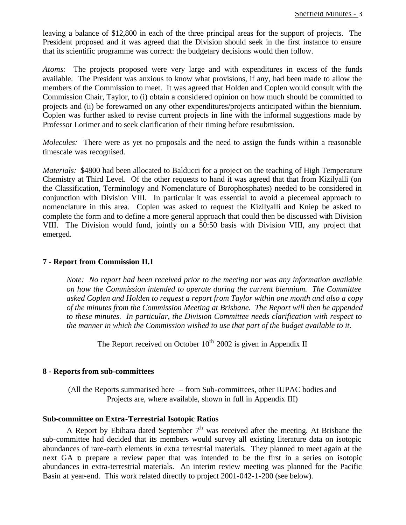leaving a balance of \$12,800 in each of the three principal areas for the support of projects. The President proposed and it was agreed that the Division should seek in the first instance to ensure that its scientific programme was correct: the budgetary decisions would then follow.

*Atoms*: The projects proposed were very large and with expenditures in excess of the funds available. The President was anxious to know what provisions, if any, had been made to allow the members of the Commission to meet. It was agreed that Holden and Coplen would consult with the Commission Chair, Taylor, to (i) obtain a considered opinion on how much should be committed to projects and (ii) be forewarned on any other expenditures/projects anticipated within the biennium. Coplen was further asked to revise current projects in line with the informal suggestions made by Professor Lorimer and to seek clarification of their timing before resubmission.

*Molecules:* There were as yet no proposals and the need to assign the funds within a reasonable timescale was recognised.

*Materials:* \$4800 had been allocated to Balducci for a project on the teaching of High Temperature Chemistry at Third Level. Of the other requests to hand it was agreed that that from Kizilyalli (on the Classification, Terminology and Nomenclature of Borophosphates) needed to be considered in conjunction with Division VIII. In particular it was essential to avoid a piecemeal approach to nomenclature in this area. Coplen was asked to request the Kizilyalli and Kniep be asked to complete the form and to define a more general approach that could then be discussed with Division VIII. The Division would fund, jointly on a 50:50 basis with Division VIII, any project that emerged.

#### **7 - Report from Commission II.1**

*Note: No report had been received prior to the meeting nor was any information available on how the Commission intended to operate during the current biennium. The Committee asked Coplen and Holden to request a report from Taylor within one month and also a copy of the minutes from the Commission Meeting at Brisbane. The Report will then be appended to these minutes. In particular, the Division Committee needs clarification with respect to the manner in which the Commission wished to use that part of the budget available to it.*

The Report received on October  $10^{th}$  2002 is given in Appendix II

#### **8 - Reports from sub-committees**

(All the Reports summarised here – from Sub-committees, other IUPAC bodies and Projects are, where available, shown in full in Appendix III)

#### **Sub-committee on Extra-Terrestrial Isotopic Ratios**

A Report by Ebihara dated September  $7<sup>th</sup>$  was received after the meeting. At Brisbane the sub-committee had decided that its members would survey all existing literature data on isotopic abundances of rare-earth elements in extra terrestrial materials. They planned to meet again at the next GA to prepare a review paper that was intended to be the first in a series on isotopic abundances in extra-terrestrial materials. An interim review meeting was planned for the Pacific Basin at year-end. This work related directly to project 2001-042-1-200 (see below).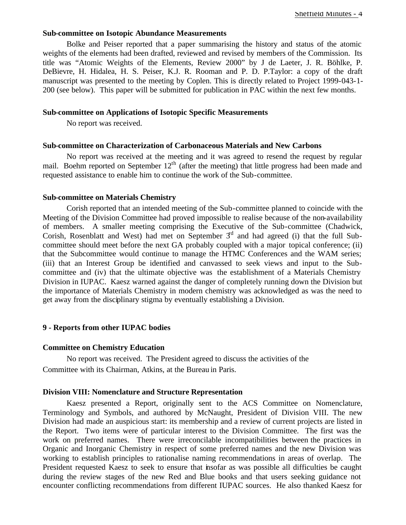#### **Sub-committee on Isotopic Abundance Measurements**

Bolke and Peiser reported that a paper summarising the history and status of the atomic weights of the elements had been drafted, reviewed and revised by members of the Commission. Its title was "Atomic Weights of the Elements, Review 2000" by J de Laeter, J. R. Böhlke, P. DeBievre, H. Hidalea, H. S. Peiser, K.J. R. Rooman and P. D. P.Taylor: a copy of the draft manuscript was presented to the meeting by Coplen. This is directly related to Project 1999-043-1- 200 (see below). This paper will be submitted for publication in PAC within the next few months.

#### **Sub-committee on Applications of Isotopic Specific Measurements**

No report was received.

#### **Sub-committee on Characterization of Carbonaceous Materials and New Carbons**

No report was received at the meeting and it was agreed to resend the request by regular mail. Boehm reported on September  $12<sup>th</sup>$  (after the meeting) that little progress had been made and requested assistance to enable him to continue the work of the Sub-committee.

#### **Sub-committee on Materials Chemistry**

Corish reported that an intended meeting of the Sub-committee planned to coincide with the Meeting of the Division Committee had proved impossible to realise because of the non-availability of members. A smaller meeting comprising the Executive of the Sub-committee (Chadwick, Corish, Rosenblatt and West) had met on September  $3<sup>d</sup>$  and had agreed (i) that the full Subcommittee should meet before the next GA probably coupled with a major topical conference; (ii) that the Subcommittee would continue to manage the HTMC Conferences and the WAM series; (iii) that an Interest Group be identified and canvassed to seek views and input to the Subcommittee and (iv) that the ultimate objective was the establishment of a Materials Chemistry Division in IUPAC. Kaesz warned against the danger of completely running down the Division but the importance of Materials Chemistry in modern chemistry was acknowledged as was the need to get away from the disciplinary stigma by eventually establishing a Division.

#### **9 - Reports from other IUPAC bodies**

#### **Committee on Chemistry Education**

No report was received. The President agreed to discuss the activities of the Committee with its Chairman, Atkins, at the Bureau in Paris.

#### **Division VIII: Nomenclature and Structure Representation**

Kaesz presented a Report, originally sent to the ACS Committee on Nomenclature, Terminology and Symbols, and authored by McNaught, President of Division VIII. The new Division had made an auspicious start: its membership and a review of current projects are listed in the Report. Two items were of particular interest to the Division Committee. The first was the work on preferred names. There were irreconcilable incompatibilities between the practices in Organic and Inorganic Chemistry in respect of some preferred names and the new Division was working to establish principles to rationalise naming recommendations in areas of overlap. The President requested Kaesz to seek to ensure that insofar as was possible all difficulties be caught during the review stages of the new Red and Blue books and that users seeking guidance not encounter conflicting recommendations from different IUPAC sources. He also thanked Kaesz for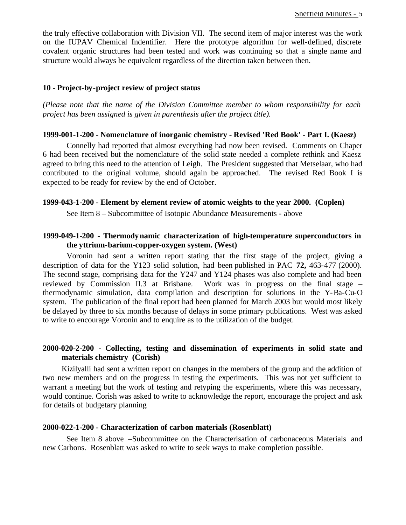the truly effective collaboration with Division VII. The second item of major interest was the work on the IUPAV Chemical Indentifier. Here the prototype algorithm for well-defined, discrete covalent organic structures had been tested and work was continuing so that a single name and structure would always be equivalent regardless of the direction taken between then.

#### **10 - Project-by-project review of project status**

*(Please note that the name of the Division Committee member to whom responsibility for each project has been assigned is given in parenthesis after the project title).*

#### **1999-001-1-200 - Nomenclature of inorganic chemistry - Revised 'Red Book' - Part I. (Kaesz)**

Connelly had reported that almost everything had now been revised. Comments on Chaper 6 had been received but the nomenclature of the solid state needed a complete rethink and Kaesz agreed to bring this need to the attention of Leigh. The President suggested that Metselaar, who had contributed to the original volume, should again be approached. The revised Red Book I is expected to be ready for review by the end of October.

#### **1999-043-1-200 - Element by element review of atomic weights to the year 2000. (Coplen)**

See Item 8 – Subcommittee of Isotopic Abundance Measurements - above

#### **1999-049-1-200 - Thermodynamic characterization of high-temperature superconductors in the yttrium-barium-copper-oxygen system. (West)**

Voronin had sent a written report stating that the first stage of the project, giving a description of data for the Y123 solid solution, had been published in PAC **72,** 463-477 (2000). The second stage, comprising data for the Y247 and Y124 phases was also complete and had been reviewed by Commission II.3 at Brisbane. Work was in progress on the final stage – thermodynamic simulation, data compilation and description for solutions in the Y-Ba-Cu-O system. The publication of the final report had been planned for March 2003 but would most likely be delayed by three to six months because of delays in some primary publications. West was asked to write to encourage Voronin and to enquire as to the utilization of the budget.

#### **2000-020-2-200 - Collecting, testing and dissemination of experiments in solid state and materials chemistry (Corish)**

Kizilyalli had sent a written report on changes in the members of the group and the addition of two new members and on the progress in testing the experiments. This was not yet sufficient to warrant a meeting but the work of testing and retyping the experiments, where this was necessary, would continue. Corish was asked to write to acknowledge the report, encourage the project and ask for details of budgetary planning

#### **2000-022-1-200 - Characterization of carbon materials (Rosenblatt)**

See Item 8 above –Subcommittee on the Characterisation of carbonaceous Materials and new Carbons. Rosenblatt was asked to write to seek ways to make completion possible.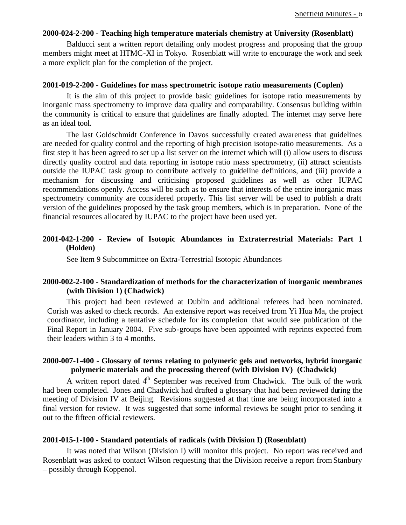#### **2000-024-2-200 - Teaching high temperature materials chemistry at University (Rosenblatt)**

Balducci sent a written report detailing only modest progress and proposing that the group members might meet at HTMC-XI in Tokyo. Rosenblatt will write to encourage the work and seek a more explicit plan for the completion of the project.

#### **2001-019-2-200 - Guidelines for mass spectrometric isotope ratio measurements (Coplen)**

It is the aim of this project to provide basic guidelines for isotope ratio measurements by inorganic mass spectrometry to improve data quality and comparability. Consensus building within the community is critical to ensure that guidelines are finally adopted. The internet may serve here as an ideal tool.

The last Goldschmidt Conference in Davos successfully created awareness that guidelines are needed for quality control and the reporting of high precision isotope-ratio measurements. As a first step it has been agreed to set up a list server on the internet which will (i) allow users to discuss directly quality control and data reporting in isotope ratio mass spectrometry, (ii) attract scientists outside the IUPAC task group to contribute actively to guideline definitions, and (iii) provide a mechanism for discussing and criticising proposed guidelines as well as other IUPAC recommendations openly. Access will be such as to ensure that interests of the entire inorganic mass spectrometry community are considered properly. This list server will be used to publish a draft version of the guidelines proposed by the task group members, which is in preparation. None of the financial resources allocated by IUPAC to the project have been used yet.

#### **2001-042-1-200 - Review of Isotopic Abundances in Extraterrestrial Materials: Part 1 (Holden)**

See Item 9 Subcommittee on Extra-Terrestrial Isotopic Abundances

#### **2000-002-2-100 - Standardization of methods for the characterization of inorganic membranes (with Division 1) (Chadwick)**

This project had been reviewed at Dublin and additional referees had been nominated. Corish was asked to check records. An extensive report was received from Yi Hua Ma, the project coordinator, including a tentative schedule for its completion that would see publication of the Final Report in January 2004. Five sub-groups have been appointed with reprints expected from their leaders within 3 to 4 months.

#### **2000-007-1-400 - Glossary of terms relating to polymeric gels and networks, hybrid inorganic polymeric materials and the processing thereof (with Division IV) (Chadwick)**

A written report dated  $4<sup>th</sup>$  September was received from Chadwick. The bulk of the work had been completed. Jones and Chadwick had drafted a glossary that had been reviewed during the meeting of Division IV at Beijing. Revisions suggested at that time are being incorporated into a final version for review. It was suggested that some informal reviews be sought prior to sending it out to the fifteen official reviewers.

#### **2001-015-1-100 - Standard potentials of radicals (with Division I) (Rosenblatt)**

It was noted that Wilson (Division I) will monitor this project. No report was received and Rosenblatt was asked to contact Wilson requesting that the Division receive a report from Stanbury – possibly through Koppenol.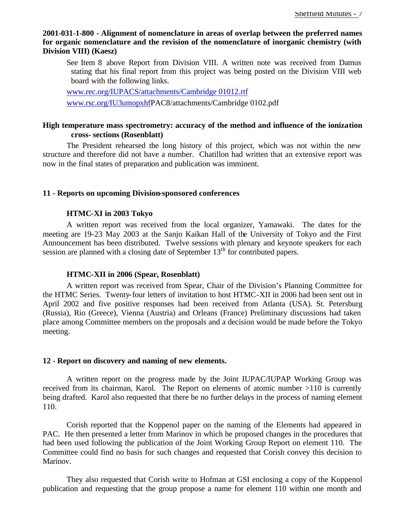#### **2001-031-1-800 - Alignment of nomenclature in areas of overlap between the preferred names for organic nomenclature and the revision of the nomenclature of inorganic chemistry (with Division VIII) (Kaesz)**

See Item 8 above Report from Division VIII. A written note was received from Damus stating that his final report from this project was being posted on the Division VIII web board with the following links.

www.rec.org/IUPACS/attachments/Cambridge 01012.rtf

www.rsc.org/IU3umopxhfPAC8/attachments/Cambridge 0102.pdf

#### **High temperature mass spectrometry: accuracy of the method and influence of the ionization cross- sections (Rosenblatt)**

The President rehearsed the long history of this project, which was not within the new structure and therefore did not have a number. Chatillon had written that an extensive report was now in the final states of preparation and publication was imminent.

#### **11 - Reports on upcoming Division-sponsored conferences**

#### **HTMC-XI in 2003 Tokyo**

A written report was received from the local organizer, Yamawaki. The dates for the meeting are 19-23 May 2003 at the Sanjo Kaikan Hall of the University of Tokyo and the First Announcement has been distributed. Twelve sessions with plenary and keynote speakers for each session are planned with a closing date of September 13<sup>th</sup> for contributed papers.

#### **HTMC-XII in 2006 (Spear, Rosenblatt)**

A written report was received from Spear, Chair of the Division's Planning Committee for the HTMC Series. Twenty-four letters of invitation to host HTMC-XII in 2006 had been sent out in April 2002 and five positive responses had been received from Atlanta (USA). St. Petersburg (Russia), Rio (Greece), Vienna (Austria) and Orleans (France) Preliminary discussions had taken place among Committee members on the proposals and a decision would be made before the Tokyo meeting.

#### **12 - Report on discovery and naming of new elements.**

A written report on the progress made by the Joint IUPAC/IUPAP Working Group was received from its chairman, Karol. The Report on elements of atomic number >110 is currently being drafted. Karol also requested that there be no further delays in the process of naming element 110.

Corish reported that the Koppenol paper on the naming of the Elements had appeared in PAC. He then presented a letter from Marinov in which he proposed changes in the procedures that had been used following the publication of the Joint Working Group Report on element 110. The Committee could find no basis for such changes and requested that Corish convey this decision to Marinov.

They also requested that Corish write to Hofman at GSI enclosing a copy of the Koppenol publication and requesting that the group propose a name for element 110 within one month and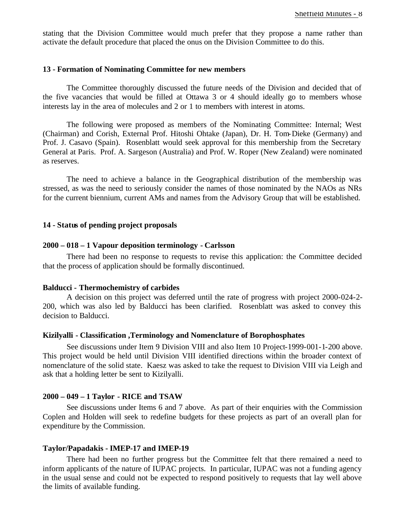stating that the Division Committee would much prefer that they propose a name rather than activate the default procedure that placed the onus on the Division Committee to do this.

#### **13 - Formation of Nominating Committee for new members**

The Committee thoroughly discussed the future needs of the Division and decided that of the five vacancies that would be filled at Ottawa 3 or 4 should ideally go to members whose interests lay in the area of molecules and 2 or 1 to members with interest in atoms.

The following were proposed as members of the Nominating Committee: Internal; West (Chairman) and Corish, External Prof. Hitoshi Ohtake (Japan), Dr. H. Tom-Dieke (Germany) and Prof. J. Casavo (Spain). Rosenblatt would seek approval for this membership from the Secretary General at Paris. Prof. A. Sargeson (Australia) and Prof. W. Roper (New Zealand) were nominated as reserves.

The need to achieve a balance in the Geographical distribution of the membership was stressed, as was the need to seriously consider the names of those nominated by the NAOs as NRs for the current biennium, current AMs and names from the Advisory Group that will be established.

#### **14 - Status of pending project proposals**

#### **2000 – 018 – 1 Vapour deposition terminology - Carlsson**

There had been no response to requests to revise this application: the Committee decided that the process of application should be formally discontinued.

#### **Balducci - Thermochemistry of carbides**

A decision on this project was deferred until the rate of progress with project 2000-024-2- 200, which was also led by Balducci has been clarified. Rosenblatt was asked to convey this decision to Balducci.

#### **Kizilyalli - Classification ,Terminology and Nomenclature of Borophosphates**

See discussions under Item 9 Division VIII and also Item 10 Project-1999-001-1-200 above. This project would be held until Division VIII identified directions within the broader context of nomenclature of the solid state. Kaesz was asked to take the request to Division VIII via Leigh and ask that a holding letter be sent to Kizilyalli.

#### **2000 – 049 – 1 Taylor - RICE and TSAW**

See discussions under Items 6 and 7 above. As part of their enquiries with the Commission Coplen and Holden will seek to redefine budgets for these projects as part of an overall plan for expenditure by the Commission.

#### **Taylor/Papadakis - IMEP-17 and IMEP-19**

There had been no further progress but the Committee felt that there remained a need to inform applicants of the nature of IUPAC projects. In particular, IUPAC was not a funding agency in the usual sense and could not be expected to respond positively to requests that lay well above the limits of available funding.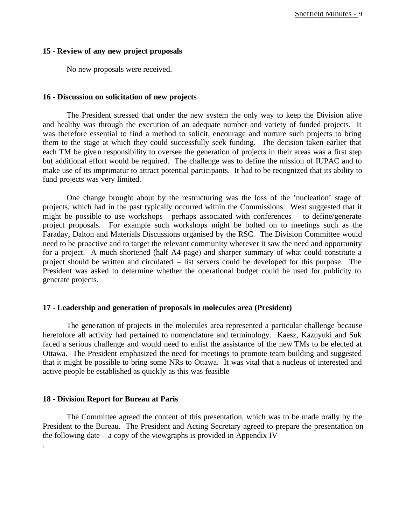#### **15 - Review of any new project proposals**

No new proposals were received.

#### **16 - Discussion on solicitation of new projects**

The President stressed that under the new system the only way to keep the Division alive and healthy was through the execution of an adequate number and variety of funded projects. It was therefore essential to find a method to solicit, encourage and nurture such projects to bring them to the stage at which they could successfully seek funding. The decision taken earlier that each TM be given responsibility to oversee the generation of projects in their areas was a first step but additional effort would be required. The challenge was to define the mission of IUPAC and to make use of its imprimatur to attract potential participants. It had to be recognized that its ability to fund projects was very limited.

One change brought about by the restructuring was the loss of the 'nucleation' stage of projects, which had in the past typically occurred within the Commissions. West suggested that it might be possible to use workshops –perhaps associated with conferences – to define/generate project proposals. For example such workshops might be bolted on to meetings such as the Faraday, Dalton and Materials Discussions organised by the RSC. The Division Committee would need to be proactive and to target the relevant community wherever it saw the need and opportunity for a project. A much shortened (half A4 page) and sharper summary of what could constitute a project should be written and circulated – list servers could be developed for this purpose. The President was asked to determine whether the operational budget could be used for publicity to generate projects.

#### **17 - Leadership and generation of proposals in molecules area (President)**

The generation of projects in the molecules area represented a particular challenge because heretofore all activity had pertained to nomenclature and terminology. Kaesz, Kazuyuki and Suk faced a serious challenge and would need to enlist the assistance of the new TMs to be elected at Ottawa. The President emphasized the need for meetings to promote team building and suggested that it might be possible to bring some NRs to Ottawa. It was vital that a nucleus of interested and active people be established as quickly as this was feasible

#### **18 - Division Report for Bureau at Paris**

.

The Committee agreed the content of this presentation, which was to be made orally by the President to the Bureau. The President and Acting Secretary agreed to prepare the presentation on the following date – a copy of the viewgraphs is provided in Appendix IV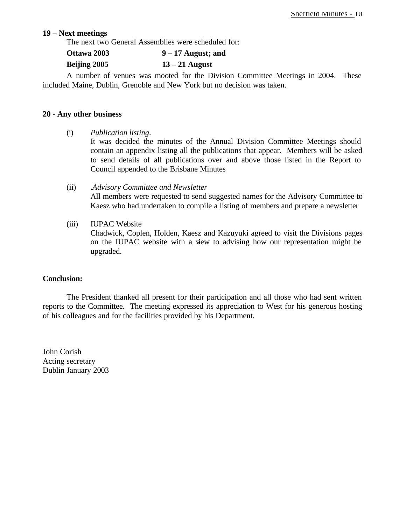#### **19 – Next meetings**

The next two General Assemblies were scheduled for:

| Ottawa 2003 | $9 - 17$ August; and |
|-------------|----------------------|
|-------------|----------------------|

#### **Beijing 2005 13 – 21 August**

A number of venues was mooted for the Division Committee Meetings in 2004. These included Maine, Dublin, Grenoble and New York but no decision was taken.

#### **20 - Any other business**

- (i) *Publication listing*. It was decided the minutes of the Annual Division Committee Meetings should contain an appendix listing all the publications that appear. Members will be asked to send details of all publications over and above those listed in the Report to Council appended to the Brisbane Minutes
- (ii) .*Advisory Committee and Newsletter* All members were requested to send suggested names for the Advisory Committee to Kaesz who had undertaken to compile a listing of members and prepare a newsletter
- (iii) IUPAC Website

Chadwick, Coplen, Holden, Kaesz and Kazuyuki agreed to visit the Divisions pages on the IUPAC website with a view to advising how our representation might be upgraded.

#### **Conclusion:**

The President thanked all present for their participation and all those who had sent written reports to the Committee. The meeting expressed its appreciation to West for his generous hosting of his colleagues and for the facilities provided by his Department.

John Corish Acting secretary Dublin January 2003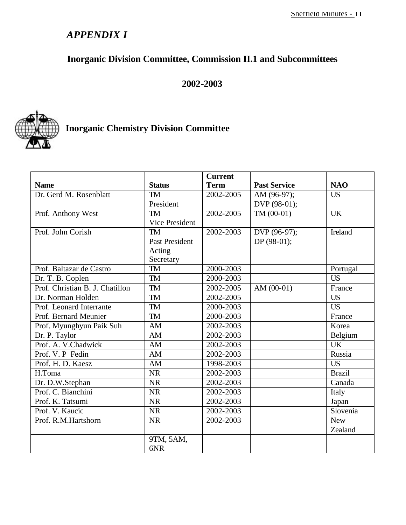## *APPENDIX I*

## **Inorganic Division Committee, Commission II.1 and Subcommittees**

### **2002-2003**



## **Inorganic Chemistry Division Committee**

|                                 |                       | <b>Current</b> |                     |               |
|---------------------------------|-----------------------|----------------|---------------------|---------------|
| <b>Name</b>                     | <b>Status</b>         | <b>Term</b>    | <b>Past Service</b> | <b>NAO</b>    |
| Dr. Gerd M. Rosenblatt          | <b>TM</b>             | 2002-2005      | AM (96-97);         | <b>US</b>     |
|                                 | President             |                | DVP (98-01);        |               |
| Prof. Anthony West              | <b>TM</b>             | 2002-2005      | $TM(00-01)$         | <b>UK</b>     |
|                                 | Vice President        |                |                     |               |
| Prof. John Corish               | <b>TM</b>             | 2002-2003      | DVP (96-97);        | Ireland       |
|                                 | <b>Past President</b> |                | DP $(98-01)$ ;      |               |
|                                 | Acting                |                |                     |               |
|                                 | Secretary             |                |                     |               |
| Prof. Baltazar de Castro        | <b>TM</b>             | 2000-2003      |                     | Portugal      |
| Dr. T. B. Coplen                | <b>TM</b>             | 2000-2003      |                     | <b>US</b>     |
| Prof. Christian B. J. Chatillon | <b>TM</b>             | 2002-2005      | AM $(00-01)$        | France        |
| Dr. Norman Holden               | <b>TM</b>             | 2002-2005      |                     | <b>US</b>     |
| Prof. Leonard Interrante        | <b>TM</b>             | 2000-2003      |                     | <b>US</b>     |
| Prof. Bernard Meunier           | <b>TM</b>             | 2000-2003      |                     | France        |
| Prof. Myunghyun Paik Suh        | AM                    | 2002-2003      |                     | Korea         |
| Dr. P. Taylor                   | AM                    | 2002-2003      |                     | Belgium       |
| Prof. A. V.Chadwick             | AM                    | 2002-2003      |                     | <b>UK</b>     |
| Prof. V. P Fedin                | AM                    | 2002-2003      |                     | Russia        |
| Prof. H. D. Kaesz               | AM                    | 1998-2003      |                     | <b>US</b>     |
| H.Toma                          | <b>NR</b>             | 2002-2003      |                     | <b>Brazil</b> |
| Dr. D.W.Stephan                 | NR                    | 2002-2003      |                     | Canada        |
| Prof. C. Bianchini              | <b>NR</b>             | 2002-2003      |                     | Italy         |
| Prof. K. Tatsumi                | <b>NR</b>             | 2002-2003      |                     | Japan         |
| Prof. V. Kaucic                 | <b>NR</b>             | 2002-2003      |                     | Slovenia      |
| Prof. R.M.Hartshorn             | <b>NR</b>             | 2002-2003      |                     | <b>New</b>    |
|                                 |                       |                |                     | Zealand       |
|                                 | 9TM, 5AM,             |                |                     |               |
|                                 | 6NR                   |                |                     |               |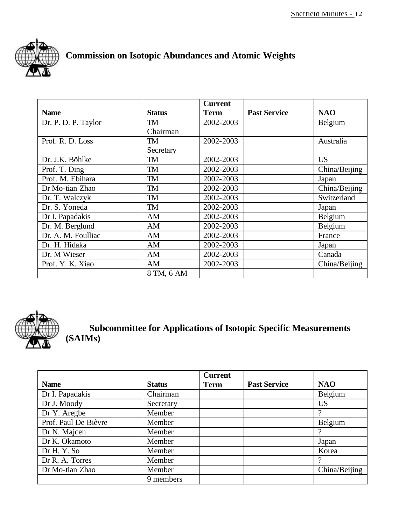

## **Commission on Isotopic Abundances and Atomic Weights**

|                     |               | <b>Current</b> |                     |               |
|---------------------|---------------|----------------|---------------------|---------------|
| <b>Name</b>         | <b>Status</b> | <b>Term</b>    | <b>Past Service</b> | <b>NAO</b>    |
| Dr. P. D. P. Taylor | TM            | 2002-2003      |                     | Belgium       |
|                     | Chairman      |                |                     |               |
| Prof. R. D. Loss    | <b>TM</b>     | 2002-2003      |                     | Australia     |
|                     | Secretary     |                |                     |               |
| Dr. J.K. Böhlke     | <b>TM</b>     | 2002-2003      |                     | <b>US</b>     |
| Prof. T. Ding       | <b>TM</b>     | 2002-2003      |                     | China/Beijing |
| Prof. M. Ebihara    | <b>TM</b>     | 2002-2003      |                     | Japan         |
| Dr Mo-tian Zhao     | <b>TM</b>     | 2002-2003      |                     | China/Beijing |
| Dr. T. Walczyk      | <b>TM</b>     | 2002-2003      |                     | Switzerland   |
| Dr. S. Yoneda       | <b>TM</b>     | 2002-2003      |                     | Japan         |
| Dr I. Papadakis     | AM            | 2002-2003      |                     | Belgium       |
| Dr. M. Berglund     | AM            | 2002-2003      |                     | Belgium       |
| Dr. A. M. Foulliac  | AM            | 2002-2003      |                     | France        |
| Dr. H. Hidaka       | AM            | 2002-2003      |                     | Japan         |
| Dr. M Wieser        | AM            | 2002-2003      |                     | Canada        |
| Prof. Y. K. Xiao    | AM            | 2002-2003      |                     | China/Beijing |
|                     | 8 TM, 6 AM    |                |                     |               |



**Subcommittee for Applications of Isotopic Specific Measurements (SAIMs)**

|                      |               | <b>Current</b> |                     |               |
|----------------------|---------------|----------------|---------------------|---------------|
| <b>Name</b>          | <b>Status</b> | <b>Term</b>    | <b>Past Service</b> | <b>NAO</b>    |
| Dr I. Papadakis      | Chairman      |                |                     | Belgium       |
| Dr J. Moody          | Secretary     |                |                     | <b>US</b>     |
| Dr Y. Aregbe         | Member        |                |                     |               |
| Prof. Paul De Bièvre | Member        |                |                     | Belgium       |
| Dr N. Majcen         | Member        |                |                     | - 2           |
| Dr K. Okamoto        | Member        |                |                     | Japan         |
| Dr H.Y.So            | Member        |                |                     | Korea         |
| Dr R. A. Torres      | Member        |                |                     | റ             |
| Dr Mo-tian Zhao      | Member        |                |                     | China/Beijing |
|                      | 9 members     |                |                     |               |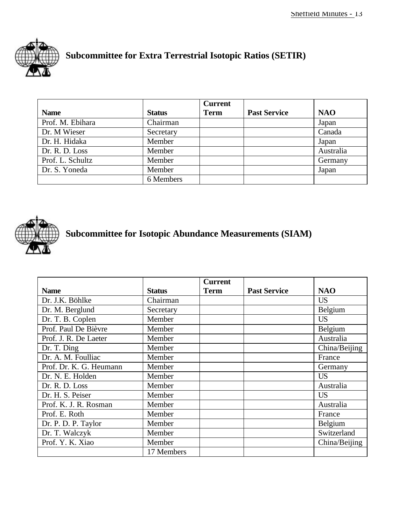

## **Subcommittee for Extra Terrestrial Isotopic Ratios (SETIR)**

|                  |               | <b>Current</b> |                     |            |
|------------------|---------------|----------------|---------------------|------------|
| <b>Name</b>      | <b>Status</b> | <b>Term</b>    | <b>Past Service</b> | <b>NAO</b> |
| Prof. M. Ebihara | Chairman      |                |                     | Japan      |
| Dr. M Wieser     | Secretary     |                |                     | Canada     |
| Dr. H. Hidaka    | Member        |                |                     | Japan      |
| Dr. R. D. Loss   | Member        |                |                     | Australia  |
| Prof. L. Schultz | Member        |                |                     | Germany    |
| Dr. S. Yoneda    | Member        |                |                     | Japan      |
|                  | 6 Members     |                |                     |            |



## **Subcommittee for Isotopic Abundance Measurements (SIAM)**

|                         |               | <b>Current</b> |                     |               |
|-------------------------|---------------|----------------|---------------------|---------------|
| <b>Name</b>             | <b>Status</b> | <b>Term</b>    | <b>Past Service</b> | <b>NAO</b>    |
| Dr. J.K. Böhlke         | Chairman      |                |                     | <b>US</b>     |
| Dr. M. Berglund         | Secretary     |                |                     | Belgium       |
| Dr. T. B. Coplen        | Member        |                |                     | <b>US</b>     |
| Prof. Paul De Bièvre    | Member        |                |                     | Belgium       |
| Prof. J. R. De Laeter   | Member        |                |                     | Australia     |
| Dr. T. Ding             | Member        |                |                     | China/Beijing |
| Dr. A. M. Foulliac      | Member        |                |                     | France        |
| Prof. Dr. K. G. Heumann | Member        |                |                     | Germany       |
| Dr. N. E. Holden        | Member        |                |                     | <b>US</b>     |
| Dr. R. D. Loss          | Member        |                |                     | Australia     |
| Dr. H. S. Peiser        | Member        |                |                     | <b>US</b>     |
| Prof. K. J. R. Rosman   | Member        |                |                     | Australia     |
| Prof. E. Roth           | Member        |                |                     | France        |
| Dr. P. D. P. Taylor     | Member        |                |                     | Belgium       |
| Dr. T. Walczyk          | Member        |                |                     | Switzerland   |
| Prof. Y. K. Xiao        | Member        |                |                     | China/Beijing |
|                         | 17 Members    |                |                     |               |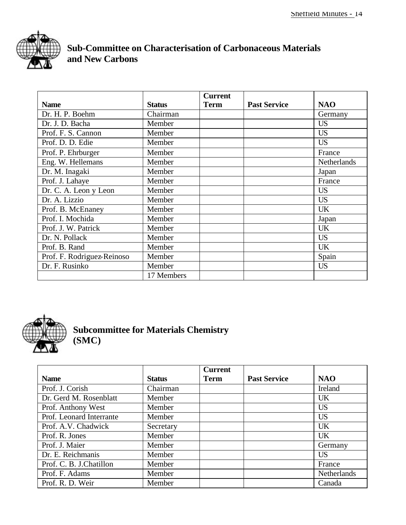

## **Sub-Committee on Characterisation of Carbonaceous Materials and New Carbons**

|                            |               | <b>Current</b> |                     |             |
|----------------------------|---------------|----------------|---------------------|-------------|
| <b>Name</b>                | <b>Status</b> | <b>Term</b>    | <b>Past Service</b> | <b>NAO</b>  |
| Dr. H. P. Boehm            | Chairman      |                |                     | Germany     |
| Dr. J. D. Bacha            | Member        |                |                     | <b>US</b>   |
| Prof. F. S. Cannon         | Member        |                |                     | <b>US</b>   |
| Prof. D. D. Edie           | Member        |                |                     | <b>US</b>   |
| Prof. P. Ehrburger         | Member        |                |                     | France      |
| Eng. W. Hellemans          | Member        |                |                     | Netherlands |
| Dr. M. Inagaki             | Member        |                |                     | Japan       |
| Prof. J. Lahaye            | Member        |                |                     | France      |
| Dr. C. A. Leon y Leon      | Member        |                |                     | <b>US</b>   |
| Dr. A. Lizzio              | Member        |                |                     | <b>US</b>   |
| Prof. B. McEnaney          | Member        |                |                     | <b>UK</b>   |
| Prof. I. Mochida           | Member        |                |                     | Japan       |
| Prof. J. W. Patrick        | Member        |                |                     | <b>UK</b>   |
| Dr. N. Pollack             | Member        |                |                     | <b>US</b>   |
| Prof. B. Rand              | Member        |                |                     | <b>UK</b>   |
| Prof. F. Rodriguez-Reinoso | Member        |                |                     | Spain       |
| Dr. F. Rusinko             | Member        |                |                     | <b>US</b>   |
|                            | 17 Members    |                |                     |             |



**Subcommittee for Materials Chemistry (SMC)**

|                          |               | <b>Current</b> |                     |             |
|--------------------------|---------------|----------------|---------------------|-------------|
| <b>Name</b>              | <b>Status</b> | <b>Term</b>    | <b>Past Service</b> | <b>NAO</b>  |
| Prof. J. Corish          | Chairman      |                |                     | Ireland     |
| Dr. Gerd M. Rosenblatt   | Member        |                |                     | <b>UK</b>   |
| Prof. Anthony West       | Member        |                |                     | <b>US</b>   |
| Prof. Leonard Interrante | Member        |                |                     | <b>US</b>   |
| Prof. A.V. Chadwick      | Secretary     |                |                     | <b>UK</b>   |
| Prof. R. Jones           | Member        |                |                     | <b>UK</b>   |
| Prof. J. Maier           | Member        |                |                     | Germany     |
| Dr. E. Reichmanis        | Member        |                |                     | <b>US</b>   |
| Prof. C. B. J.Chatillon  | Member        |                |                     | France      |
| Prof. F. Adams           | Member        |                |                     | Netherlands |
| Prof. R. D. Weir         | Member        |                |                     | Canada      |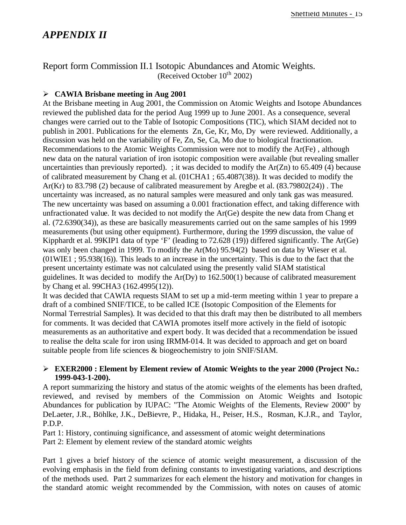### *APPENDIX II*

Report form Commission II.1 Isotopic Abundances and Atomic Weights. (Received October  $10^{th}$  2002)

#### ÿ **CAWIA Brisbane meeting in Aug 2001**

At the Brisbane meeting in Aug 2001, the Commission on Atomic Weights and Isotope Abundances reviewed the published data for the period Aug 1999 up to June 2001. As a consequence, several changes were carried out to the Table of Isotopic Compositions (TIC), which SIAM decided not to publish in 2001. Publications for the elements Zn, Ge, Kr, Mo, Dy were reviewed. Additionally, a discussion was held on the variability of Fe, Zn, Se, Ca, Mo due to biological fractionation. Recommendations to the Atomic Weights Commission were not to modify the Ar(Fe) , although new data on the natural variation of iron isotopic composition were available (but revealing smaller uncertainties than previously reported). ; it was decided to modify the  $Ar(Zn)$  to 65.409 (4) because of calibrated measurement by Chang et al. (01CHA1 ; 65.4087(38)). It was decided to modify the Ar(Kr) to 83.798 (2) because of calibrated measurement by Aregbe et al. (83.79802(24)) . The uncertainty was increased, as no natural samples were measured and only tank gas was measured. The new uncertainty was based on assuming a 0.001 fractionation effect, and taking difference with unfractionated value. It was decided to not modify the Ar(Ge) despite the new data from Chang et al. (72.6390(34)), as these are basically measurements carried out on the same samples of his 1999 measurements (but using other equipment). Furthermore, during the 1999 discussion, the value of Kipphardt et al. 99KIP1 data of type 'F' (leading to 72.628 (19)) differed significantly. The Ar(Ge) was only been changed in 1999. To modify the Ar(Mo) 95.94(2) based on data by Wieser et al. (01WIE1 ; 95.938(16)). This leads to an increase in the uncertainty. This is due to the fact that the present uncertainty estimate was not calculated using the presently valid SIAM statistical guidelines. It was decided to modify the Ar(Dy) to 162.500(1) because of calibrated measurement by Chang et al. 99CHA3 (162.4995(12)).

It was decided that CAWIA requests SIAM to set up a mid-term meeting within 1 year to prepare a draft of a combined SNIF/TICE, to be called ICE (Isotopic Composition of the Elements for Normal Terrestrial Samples). It was decided to that this draft may then be distributed to all members for comments. It was decided that CAWIA promotes itself more actively in the field of isotopic measurements as an authoritative and expert body. It was decided that a recommendation be issued to realise the delta scale for iron using IRMM-014. It was decided to approach and get on board suitable people from life sciences & biogeochemistry to join SNIF/SIAM.

#### ÿ **EXER2000 : Element by Element review of Atomic Weights to the year 2000 (Project No.: 1999-043-1-200).**

A report summarizing the history and status of the atomic weights of the elements has been drafted, reviewed, and revised by members of the Commission on Atomic Weights and Isotopic Abundances for publication by IUPAC: "The Atomic Weights of the Elements, Review 2000" by DeLaeter, J.R., Böhlke, J.K., DeBievre, P., Hidaka, H., Peiser, H.S., Rosman, K.J.R., and Taylor, P.D.P.

Part 1: History, continuing significance, and assessment of atomic weight determinations Part 2: Element by element review of the standard atomic weights

Part 1 gives a brief history of the science of atomic weight measurement, a discussion of the evolving emphasis in the field from defining constants to investigating variations, and descriptions of the methods used. Part 2 summarizes for each element the history and motivation for changes in the standard atomic weight recommended by the Commission, with notes on causes of atomic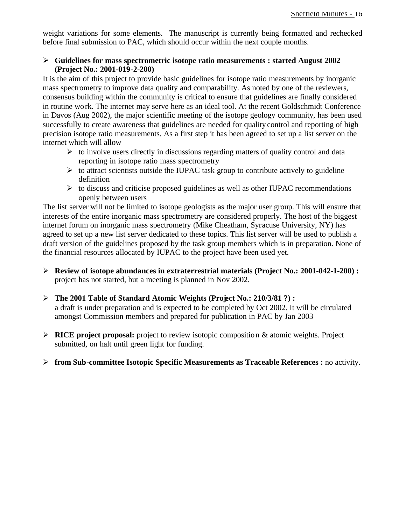weight variations for some elements. The manuscript is currently being formatted and rechecked before final submission to PAC, which should occur within the next couple months.

#### ÿ **Guidelines for mass spectrometric isotope ratio measurements : started August 2002 (Project No.: 2001-019-2-200)**

It is the aim of this project to provide basic guidelines for isotope ratio measurements by inorganic mass spectrometry to improve data quality and comparability. As noted by one of the reviewers, consensus building within the community is critical to ensure that guidelines are finally considered in routine work. The internet may serve here as an ideal tool. At the recent Goldschmidt Conference in Davos (Aug 2002), the major scientific meeting of the isotope geology community, has been used successfully to create awareness that guidelines are needed for quality control and reporting of high precision isotope ratio measurements. As a first step it has been agreed to set up a list server on the internet which will allow

- $\triangleright$  to involve users directly in discussions regarding matters of quality control and data reporting in isotope ratio mass spectrometry
- $\triangleright$  to attract scientists outside the IUPAC task group to contribute actively to guideline definition
- $\triangleright$  to discuss and criticise proposed guidelines as well as other IUPAC recommendations openly between users

The list server will not be limited to isotope geologists as the major user group. This will ensure that interests of the entire inorganic mass spectrometry are considered properly. The host of the biggest internet forum on inorganic mass spectrometry (Mike Cheatham, Syracuse University, NY) has agreed to set up a new list server dedicated to these topics. This list server will be used to publish a draft version of the guidelines proposed by the task group members which is in preparation. None of the financial resources allocated by IUPAC to the project have been used yet.

- ÿ **Review of isotope abundances in extraterrestrial materials (Project No.: 2001-042-1-200) :**  project has not started, but a meeting is planned in Nov 2002.
- ÿ **The 2001 Table of Standard Atomic Weights (Project No.: 210/3/81 ?) :**  a draft is under preparation and is expected to be completed by Oct 2002. It will be circulated amongst Commission members and prepared for publication in PAC by Jan 2003
- ÿ **RICE project proposal:** project to review isotopic composition & atomic weights. Project submitted, on halt until green light for funding.
- ÿ **from Sub-committee Isotopic Specific Measurements as Traceable References :** no activity.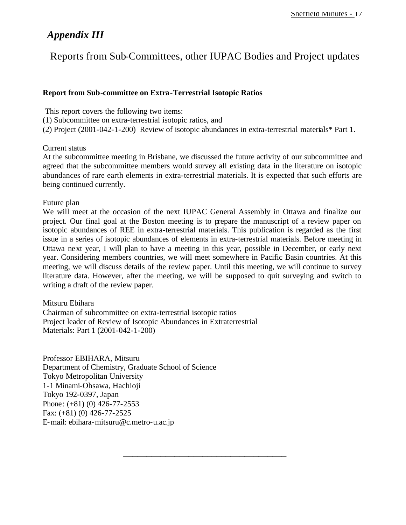## *Appendix III*

Reports from Sub-Committees, other IUPAC Bodies and Project updates

#### **Report from Sub-committee on Extra-Terrestrial Isotopic Ratios**

This report covers the following two items:

(1) Subcommittee on extra-terrestrial isotopic ratios, and

(2) Project (2001-042-1-200) Review of isotopic abundances in extra-terrestrial materials\* Part 1.

#### Current status

At the subcommittee meeting in Brisbane, we discussed the future activity of our subcommittee and agreed that the subcommittee members would survey all existing data in the literature on isotopic abundances of rare earth elements in extra-terrestrial materials. It is expected that such efforts are being continued currently.

#### Future plan

We will meet at the occasion of the next IUPAC General Assembly in Ottawa and finalize our project. Our final goal at the Boston meeting is to prepare the manuscript of a review paper on isotopic abundances of REE in extra-terrestrial materials. This publication is regarded as the first issue in a series of isotopic abundances of elements in extra-terrestrial materials. Before meeting in Ottawa next year, I will plan to have a meeting in this year, possible in December, or early next year. Considering members countries, we will meet somewhere in Pacific Basin countries. At this meeting, we will discuss details of the review paper. Until this meeting, we will continue to survey literature data. However, after the meeting, we will be supposed to quit surveying and switch to writing a draft of the review paper.

\_\_\_\_\_\_\_\_\_\_\_\_\_\_\_\_\_\_\_\_\_\_\_\_\_\_\_\_\_\_\_\_\_\_\_

#### Mitsuru Ebihara

Chairman of subcommittee on extra-terrestrial isotopic ratios Project leader of Review of Isotopic Abundances in Extraterrestrial Materials: Part 1 (2001-042-1-200)

Professor EBIHARA, Mitsuru Department of Chemistry, Graduate School of Science Tokyo Metropolitan University 1-1 Minami-Ohsawa, Hachioji Tokyo 192-0397, Japan Phone: (+81) (0) 426-77-2553 Fax: (+81) (0) 426-77-2525 E-mail: ebihara-mitsuru@c.metro-u.ac.jp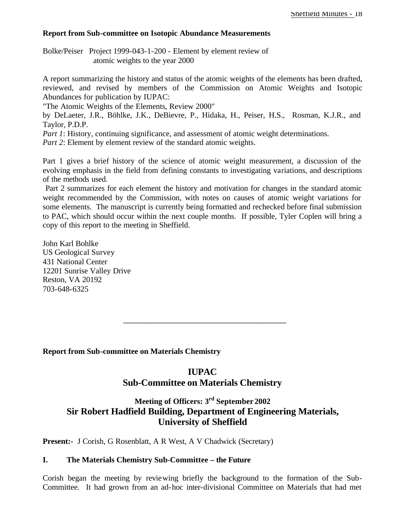#### **Report from Sub-committee on Isotopic Abundance Measurements**

Bolke/Peiser Project 1999-043-1-200 - Element by element review of atomic weights to the year 2000

A report summarizing the history and status of the atomic weights of the elements has been drafted, reviewed, and revised by members of the Commission on Atomic Weights and Isotopic Abundances for publication by IUPAC:

"The Atomic Weights of the Elements, Review 2000"

by DeLaeter, J.R., Böhlke, J.K., DeBievre, P., Hidaka, H., Peiser, H.S., Rosman, K.J.R., and Taylor, P.D.P.

*Part 1*: History, continuing significance, and assessment of atomic weight determinations.

*Part 2*: Element by element review of the standard atomic weights.

Part 1 gives a brief history of the science of atomic weight measurement, a discussion of the evolving emphasis in the field from defining constants to investigating variations, and descriptions of the methods used.

 Part 2 summarizes for each element the history and motivation for changes in the standard atomic weight recommended by the Commission, with notes on causes of atomic weight variations for some elements. The manuscript is currently being formatted and rechecked before final submission to PAC, which should occur within the next couple months. If possible, Tyler Coplen will bring a copy of this report to the meeting in Sheffield.

John Karl Bohlke US Geological Survey 431 National Center 12201 Sunrise Valley Drive Reston, VA 20192 703-648-6325

**Report from Sub-committee on Materials Chemistry**

#### **IUPAC**

\_\_\_\_\_\_\_\_\_\_\_\_\_\_\_\_\_\_\_\_\_\_\_\_\_\_\_\_\_\_\_\_\_\_\_

#### **Sub-Committee on Materials Chemistry**

### **Meeting of Officers: 3rd September 2002 Sir Robert Hadfield Building, Department of Engineering Materials, University of Sheffield**

**Present:-** J Corish, G Rosenblatt, A R West, A V Chadwick (Secretary)

#### **I. The Materials Chemistry Sub-Committee – the Future**

Corish began the meeting by reviewing briefly the background to the formation of the Sub-Committee. It had grown from an ad-hoc inter-divisional Committee on Materials that had met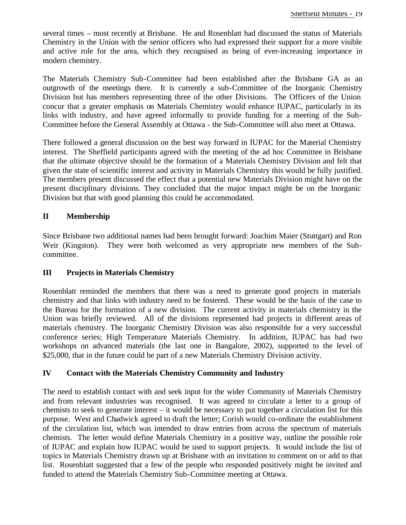several times – most recently at Brisbane. He and Rosenblatt had discussed the status of Materials Chemistry in the Union with the senior officers who had expressed their support for a more visible and active role for the area, which they recognised as being of ever-increasing importance in modern chemistry.

The Materials Chemistry Sub-Committee had been established after the Brisbane GA as an outgrowth of the meetings there. It is currently a sub-Committee of the Inorganic Chemistry Division but has members representing three of the other Divisions. The Officers of the Union concur that a greater emphasis on Materials Chemistry would enhance IUPAC, particularly in its links with industry, and have agreed informally to provide funding for a meeting of the Sub-Committee before the General Assembly at Ottawa - the Sub-Committee will also meet at Ottawa.

There followed a general discussion on the best way forward in IUPAC for the Material Chemistry interest. The Sheffield participants agreed with the meeting of the ad hoc Committee in Brisbane that the ultimate objective should be the formation of a Materials Chemistry Division and felt that given the state of scientific interest and activity in Materials Chemistry this would be fully justified. The members present discussed the effect that a potential new Materials Division might have on the present disciplinary divisions. They concluded that the major impact might be on the Inorganic Division but that with good planning this could be accommodated.

#### **II Membership**

Since Brisbane two additional names had been brought forward: Joachim Maier (Stuttgart) and Ron Weir (Kingston). They were both welcomed as very appropriate new members of the Subcommittee.

#### **III Projects in Materials Chemistry**

Rosenblatt reminded the members that there was a need to generate good projects in materials chemistry and that links with industry need to be fostered. These would be the basis of the case to the Bureau for the formation of a new division. The current activity in materials chemistry in the Union was briefly reviewed. All of the divisions represented had projects in different areas of materials chemistry. The Inorganic Chemistry Division was also responsible for a very successful conference series; High Temperature Materials Chemistry. In addition, IUPAC has had two workshops on advanced materials (the last one in Bangalore, 2002), supported to the level of \$25,000, that in the future could be part of a new Materials Chemistry Division activity.

#### **IV Contact with the Materials Chemistry Community and Industry**

The need to establish contact with and seek input for the wider Community of Materials Chemistry and from relevant industries was recognised. It was agreed to circulate a letter to a group of chemists to seek to generate interest – it would be necessary to put together a circulation list for this purpose. West and Chadwick agreed to draft the letter; Corish would co-ordinate the establishment of the circulation list, which was intended to draw entries from across the spectrum of materials chemists. The letter would define Materials Chemistry in a positive way, outline the possible role of IUPAC and explain how IUPAC would be used to support projects. It would include the list of topics in Materials Chemistry drawn up at Brisbane with an invitation to comment on or add to that list. Rosenblatt suggested that a few of the people who responded positively might be invited and funded to attend the Materials Chemistry Sub-Committee meeting at Ottawa.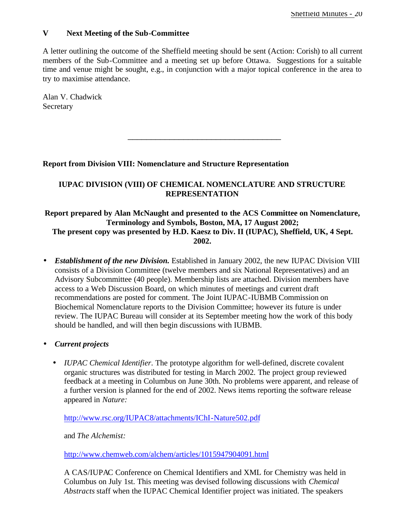#### **V Next Meeting of the Sub-Committee**

A letter outlining the outcome of the Sheffield meeting should be sent (Action: Corish) to all current members of the Sub-Committee and a meeting set up before Ottawa. Suggestions for a suitable time and venue might be sought, e.g., in conjunction with a major topical conference in the area to try to maximise attendance.

Alan V. Chadwick **Secretary** 

#### **Report from Division VIII: Nomenclature and Structure Representation**

#### **IUPAC DIVISION (VIII) OF CHEMICAL NOMENCLATURE AND STRUCTURE REPRESENTATION**

\_\_\_\_\_\_\_\_\_\_\_\_\_\_\_\_\_\_\_\_\_\_\_\_\_\_\_\_\_\_\_\_\_

#### **Report prepared by Alan McNaught and presented to the ACS Committee on Nomenclature, Terminology and Symbols, Boston, MA, 17 August 2002; The present copy was presented by H.D. Kaesz to Div. II (IUPAC), Sheffield, UK, 4 Sept. 2002.**

• *Establishment of the new Division*. Established in January 2002, the new IUPAC Division VIII consists of a Division Committee (twelve members and six National Representatives) and an Advisory Subcommittee (40 people). Membership lists are attached. Division members have access to a Web Discussion Board, on which minutes of meetings and current draft recommendations are posted for comment. The Joint IUPAC-IUBMB Commission on Biochemical Nomenclature reports to the Division Committee; however its future is under review. The IUPAC Bureau will consider at its September meeting how the work of this body should be handled, and will then begin discussions with IUBMB.

#### • *Current projects*

• *IUPAC Chemical Identifier*. The prototype algorithm for well-defined, discrete covalent organic structures was distributed for testing in March 2002. The project group reviewed feedback at a meeting in Columbus on June 30th. No problems were apparent, and release of a further version is planned for the end of 2002. News items reporting the software release appeared in *Nature:*

http://www.rsc.org/IUPAC8/attachments/IChI-Nature502.pdf

and *The Alchemist:*

http://www.chemweb.com/alchem/articles/1015947904091.html

A CAS/IUPAC Conference on Chemical Identifiers and XML for Chemistry was held in Columbus on July 1st. This meeting was devised following discussions with *Chemical Abstracts* staff when the IUPAC Chemical Identifier project was initiated. The speakers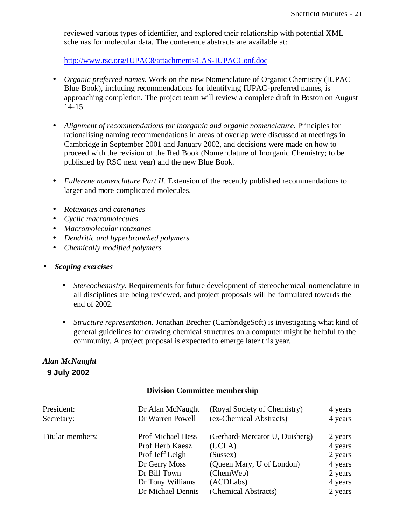reviewed various types of identifier, and explored their relationship with potential XML schemas for molecular data. The conference abstracts are available at:

http://www.rsc.org/IUPAC8/attachments/CAS-IUPACConf.doc

- *Organic preferred names*. Work on the new Nomenclature of Organic Chemistry (IUPAC Blue Book), including recommendations for identifying IUPAC-preferred names, is approaching completion. The project team will review a complete draft in Boston on August 14-15.
- *Alignment of recommendations for inorganic and organic nomenclature.* Principles for rationalising naming recommendations in areas of overlap were discussed at meetings in Cambridge in September 2001 and January 2002, and decisions were made on how to proceed with the revision of the Red Book (Nomenclature of Inorganic Chemistry; to be published by RSC next year) and the new Blue Book.
- *Fullerene nomenclature Part II.* Extension of the recently published recommendations to larger and more complicated molecules.
- *Rotaxanes and catenanes*
- *Cyclic macromolecules*
- *Macromolecular rotaxanes*
- *Dendritic and hyperbranched polymers*
- *Chemically modified polymers*
- *Scoping exercises*
	- *Stereochemistry.* Requirements for future development of stereochemical nomenclature in all disciplines are being reviewed, and project proposals will be formulated towards the end of 2002.
	- *Structure representation*. Jonathan Brecher (CambridgeSoft) is investigating what kind of general guidelines for drawing chemical structures on a computer might be helpful to the community. A project proposal is expected to emerge later this year.

#### *Alan McNaught* **9 July 2002**

#### **Division Committee membership**

| President:       | Dr Alan McNaught         | (Royal Society of Chemistry)   | 4 years |
|------------------|--------------------------|--------------------------------|---------|
| Secretary:       | Dr Warren Powell         | (ex-Chemical Abstracts)        | 4 years |
| Titular members: | <b>Prof Michael Hess</b> | (Gerhard-Mercator U, Duisberg) | 2 years |
|                  | Prof Herb Kaesz          | (UCLA)                         | 4 years |
|                  | Prof Jeff Leigh          | (Sussex)                       | 2 years |
|                  | Dr Gerry Moss            | (Queen Mary, U of London)      | 4 years |
|                  | Dr Bill Town             | (ChemWeb)                      | 2 years |
|                  | Dr Tony Williams         | (ACDLabs)                      | 4 years |
|                  | Dr Michael Dennis        | (Chemical Abstracts)           | 2 years |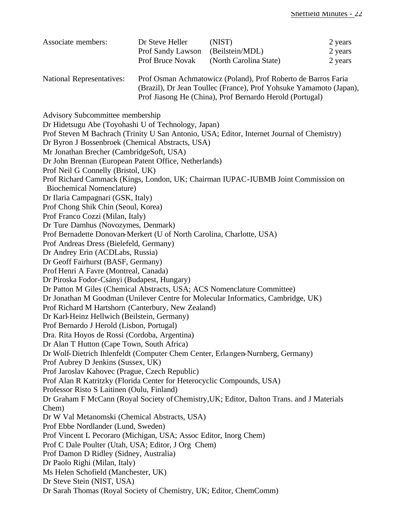| Associate members:               | Dr Steve Heller                                                    | (NIST)                 | 2 years |  |
|----------------------------------|--------------------------------------------------------------------|------------------------|---------|--|
|                                  | Prof Sandy Lawson                                                  | (Beilstein/MDL)        | 2 years |  |
|                                  | <b>Prof Bruce Novak</b>                                            | (North Carolina State) | 2 years |  |
| <b>National Representatives:</b> | Prof Osman Achmatowicz (Poland), Prof Roberto de Barros Faria      |                        |         |  |
|                                  | (Brazil), Dr Jean Toullec (France), Prof Yohsuke Yamamoto (Japan), |                        |         |  |
|                                  | Prof Jiasong He (China), Prof Bernardo Herold (Portugal)           |                        |         |  |

Advisory Subcommittee membership

Dr Hidetsugu Abe (Toyohashi U of Technology, Japan) Prof Steven M Bachrach (Trinity U San Antonio, USA; Editor, Internet Journal of Chemistry) Dr Byron J Bossenbroek (Chemical Abstracts, USA) Mr Jonathan Brecher (CambridgeSoft, USA) Dr John Brennan (European Patent Office, Netherlands) Prof Neil G Connelly (Bristol, UK) Prof Richard Cammack (Kings, London, UK; Chairman IUPAC-IUBMB Joint Commission on Biochemical Nomenclature) Dr Ilaria Campagnari (GSK, Italy) Prof Chong Shik Chin (Seoul, Korea) Prof Franco Cozzi (Milan, Italy) Dr Ture Damhus (Novozymes, Denmark) Prof Bernadette Donovan-Merkert (U of North Carolina, Charlotte, USA) Prof Andreas Dress (Bielefeld, Germany) Dr Andrey Erin (ACDLabs, Russia) Dr Geoff Fairhurst (BASF, Germany) Prof Henri A Favre (Montreal, Canada) Dr Piroska Fodor-Csányi (Budapest, Hungary) Dr Patton M Giles (Chemical Abstracts, USA; ACS Nomenclature Committee) Dr Jonathan M Goodman (Unilever Centre for Molecular Informatics, Cambridge, UK) Prof Richard M Hartshorn (Canterbury, New Zealand) Dr Karl-Heinz Hellwich (Beilstein, Germany) Prof Bernardo J Herold (Lisbon, Portugal) Dra. Rita Hoyos de Rossi (Cordoba, Argentina) Dr Alan T Hutton (Cape Town, South Africa) Dr Wolf-Dietrich Ihlenfeldt (Computer Chem Center, Erlangen-Nurnberg, Germany) Prof Aubrey D Jenkins (Sussex, UK) Prof Jaroslav Kahovec (Prague, Czech Republic) Prof Alan R Katritzky (Florida Center for Heterocyclic Compounds, USA) Professor Risto S Laitinen (Oulu, Finland) Dr Graham F McCann (Royal Society of Chemistry,UK; Editor, Dalton Trans. and J Materials Chem) Dr W Val Metanomski (Chemical Abstracts, USA) Prof Ebbe Nordlander (Lund, Sweden) Prof Vincent L Pecoraro (Michigan, USA; Assoc Editor, Inorg Chem) Prof C Dale Poulter (Utah, USA; Editor, J Org Chem) Prof Damon D Ridley (Sidney, Australia) Dr Paolo Righi (Milan, Italy) Ms Helen Schofield (Manchester, UK) Dr Steve Stein (NIST, USA) Dr Sarah Thomas (Royal Society of Chemistry, UK; Editor, ChemComm)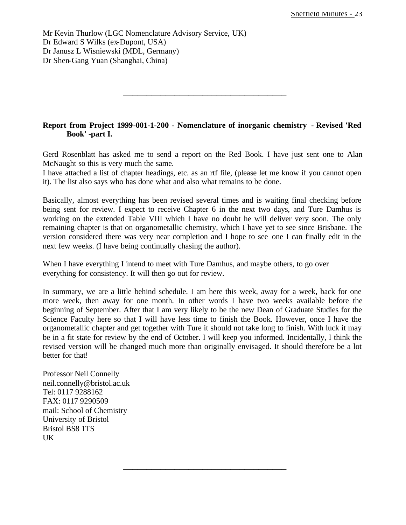Mr Kevin Thurlow (LGC Nomenclature Advisory Service, UK) Dr Edward S Wilks (ex-Dupont, USA) Dr Janusz L Wisniewski (MDL, Germany) Dr Shen-Gang Yuan (Shanghai, China)

#### **Report from Project 1999-001-1-200 - Nomenclature of inorganic chemistry - Revised 'Red Book' -part I.**

\_\_\_\_\_\_\_\_\_\_\_\_\_\_\_\_\_\_\_\_\_\_\_\_\_\_\_\_\_\_\_\_\_\_\_

Gerd Rosenblatt has asked me to send a report on the Red Book. I have just sent one to Alan McNaught so this is very much the same.

I have attached a list of chapter headings, etc. as an rtf file, (please let me know if you cannot open it). The list also says who has done what and also what remains to be done.

Basically, almost everything has been revised several times and is waiting final checking before being sent for review. I expect to receive Chapter 6 in the next two days, and Ture Damhus is working on the extended Table VIII which I have no doubt he will deliver very soon. The only remaining chapter is that on organometallic chemistry, which I have yet to see since Brisbane. The version considered there was very near completion and I hope to see one I can finally edit in the next few weeks. (I have being continually chasing the author).

When I have everything I intend to meet with Ture Damhus, and maybe others, to go over everything for consistency. It will then go out for review.

In summary, we are a little behind schedule. I am here this week, away for a week, back for one more week, then away for one month. In other words I have two weeks available before the beginning of September. After that I am very likely to be the new Dean of Graduate Studies for the Science Faculty here so that I will have less time to finish the Book. However, once I have the organometallic chapter and get together with Ture it should not take long to finish. With luck it may be in a fit state for review by the end of October. I will keep you informed. Incidentally, I think the revised version will be changed much more than originally envisaged. It should therefore be a lot better for that!

\_\_\_\_\_\_\_\_\_\_\_\_\_\_\_\_\_\_\_\_\_\_\_\_\_\_\_\_\_\_\_\_\_\_\_

Professor Neil Connelly neil.connelly@bristol.ac.uk Tel: 0117 9288162 FAX: 0117 9290509 mail: School of Chemistry University of Bristol Bristol BS8 1TS UK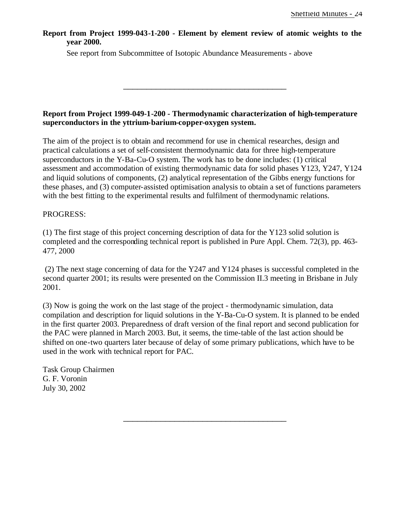**Report from Project 1999-043-1-200 - Element by element review of atomic weights to the year 2000.** 

See report from Subcommittee of Isotopic Abundance Measurements - above

#### **Report from Project 1999-049-1-200 - Thermodynamic characterization of high-temperature superconductors in the yttrium-barium-copper-oxygen system.**

\_\_\_\_\_\_\_\_\_\_\_\_\_\_\_\_\_\_\_\_\_\_\_\_\_\_\_\_\_\_\_\_\_\_\_

The aim of the project is to obtain and recommend for use in chemical researches, design and practical calculations a set of self-consistent thermodynamic data for three high-temperature superconductors in the Y-Ba-Cu-O system. The work has to be done includes: (1) critical assessment and accommodation of existing thermodynamic data for solid phases Y123, Y247, Y124 and liquid solutions of components, (2) analytical representation of the Gibbs energy functions for these phases, and (3) computer-assisted optimisation analysis to obtain a set of functions parameters with the best fitting to the experimental results and fulfilment of thermodynamic relations.

#### PROGRESS:

(1) The first stage of this project concerning description of data for the Y123 solid solution is completed and the corresponding technical report is published in Pure Appl. Chem. 72(3), pp. 463- 477, 2000

 (2) The next stage concerning of data for the Y247 and Y124 phases is successful completed in the second quarter 2001; its results were presented on the Commission II.3 meeting in Brisbane in July 2001.

(3) Now is going the work on the last stage of the project - thermodynamic simulation, data compilation and description for liquid solutions in the Y-Ba-Cu-O system. It is planned to be ended in the first quarter 2003. Preparedness of draft version of the final report and second publication for the PAC were planned in March 2003. But, it seems, the time-table of the last action should be shifted on one-two quarters later because of delay of some primary publications, which have to be used in the work with technical report for PAC.

\_\_\_\_\_\_\_\_\_\_\_\_\_\_\_\_\_\_\_\_\_\_\_\_\_\_\_\_\_\_\_\_\_\_\_

Task Group Chairmen G. F. Voronin July 30, 2002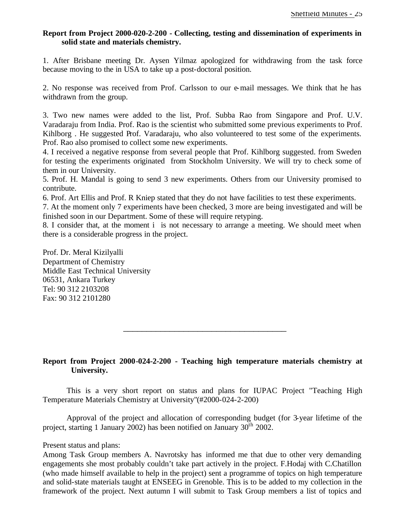#### **Report from Project 2000-020-2-200 - Collecting, testing and dissemination of experiments in solid state and materials chemistry.**

1. After Brisbane meeting Dr. Aysen Yilmaz apologized for withdrawing from the task force because moving to the in USA to take up a post-doctoral position.

2. No response was received from Prof. Carlsson to our e-mail messages. We think that he has withdrawn from the group.

3. Two new names were added to the list, Prof. Subba Rao from Singapore and Prof. U.V. Varadaraju from India. Prof. Rao is the scientist who submitted some previous experiments to Prof. Kihlborg . He suggested Prof. Varadaraju, who also volunteered to test some of the experiments. Prof. Rao also promised to collect some new experiments.

4. I received a negative response from several people that Prof. Kihlborg suggested. from Sweden for testing the experiments originated from Stockholm University. We will try to check some of them in our University.

5. Prof. H. Mandal is going to send 3 new experiments. Others from our University promised to contribute.

6. Prof. Art Ellis and Prof. R Kniep stated that they do not have facilities to test these experiments.

7. At the moment only 7 experiments have been checked, 3 more are being investigated and will be finished soon in our Department. Some of these will require retyping.

8. I consider that, at the moment i is not necessary to arrange a meeting. We should meet when there is a considerable progress in the project.

Prof. Dr. Meral Kizilyalli Department of Chemistry Middle East Technical University 06531, Ankara Turkey Tel: 90 312 2103208 Fax: 90 312 2101280

#### **Report from Project 2000-024-2-200 - Teaching high temperature materials chemistry at University.**

\_\_\_\_\_\_\_\_\_\_\_\_\_\_\_\_\_\_\_\_\_\_\_\_\_\_\_\_\_\_\_\_\_\_\_

This is a very short report on status and plans for IUPAC Project "Teaching High Temperature Materials Chemistry at University"(#2000-024-2-200)

Approval of the project and allocation of corresponding budget (for 3-year lifetime of the project, starting 1 January 2002) has been notified on January  $30^{th}$  2002.

#### Present status and plans:

Among Task Group members A. Navrotsky has informed me that due to other very demanding engagements she most probably couldn't take part actively in the project. F.Hodaj with C.Chatillon (who made himself available to help in the project) sent a programme of topics on high temperature and solid-state materials taught at ENSEEG in Grenoble. This is to be added to my collection in the framework of the project. Next autumn I will submit to Task Group members a list of topics and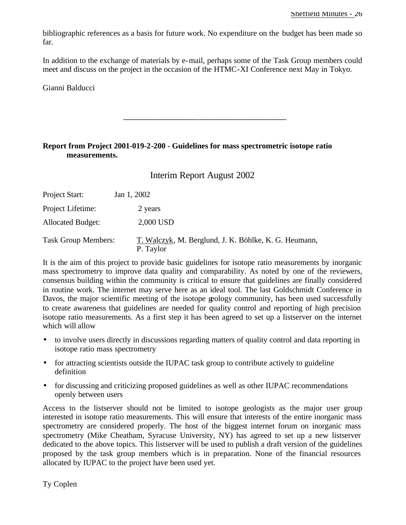bibliographic references as a basis for future work. No expenditure on the budget has been made so far.

In addition to the exchange of materials by e-mail, perhaps some of the Task Group members could meet and discuss on the project in the occasion of the HTMC-XI Conference next May in Tokyo.

\_\_\_\_\_\_\_\_\_\_\_\_\_\_\_\_\_\_\_\_\_\_\_\_\_\_\_\_\_\_\_\_\_\_\_

Gianni Balducci

#### **Report from Project 2001-019-2-200 - Guidelines for mass spectrometric isotope ratio measurements.**

Interim Report August 2002

| Project Start:             | Jan 1, 2002                                                        |
|----------------------------|--------------------------------------------------------------------|
| Project Lifetime:          | 2 years                                                            |
| <b>Allocated Budget:</b>   | 2,000 USD                                                          |
| <b>Task Group Members:</b> | T. Walczyk, M. Berglund, J. K. Böhlke, K. G. Heumann,<br>P. Taylor |

It is the aim of this project to provide basic guidelines for isotope ratio measurements by inorganic mass spectrometry to improve data quality and comparability. As noted by one of the reviewers, consensus building within the community is critical to ensure that guidelines are finally considered in routine work. The internet may serve here as an ideal tool. The last Goldschmidt Conference in Davos, the major scientific meeting of the isotope geology community, has been used successfully to create awareness that guidelines are needed for quality control and reporting of high precision isotope ratio measurements. As a first step it has been agreed to set up a listserver on the internet which will allow

- to involve users directly in discussions regarding matters of quality control and data reporting in isotope ratio mass spectrometry
- for attracting scientists outside the IUPAC task group to contribute actively to guideline definition
- for discussing and criticizing proposed guidelines as well as other IUPAC recommendations openly between users

Access to the listserver should not be limited to isotope geologists as the major user group interested in isotope ratio measurements. This will ensure that interests of the entire inorganic mass spectrometry are considered properly. The host of the biggest internet forum on inorganic mass spectrometry (Mike Cheatham, Syracuse University, NY) has agreed to set up a new listserver dedicated to the above topics. This listserver will be used to publish a draft version of the guidelines proposed by the task group members which is in preparation. None of the financial resources allocated by IUPAC to the project have been used yet.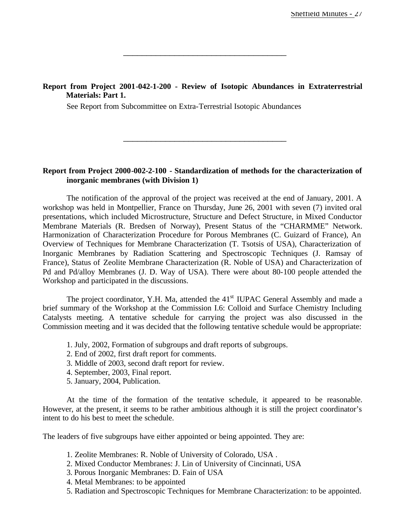#### **Report from Project 2001-042-1-200 - Review of Isotopic Abundances in Extraterrestrial Materials: Part 1.**

\_\_\_\_\_\_\_\_\_\_\_\_\_\_\_\_\_\_\_\_\_\_\_\_\_\_\_\_\_\_\_\_\_\_\_

See Report from Subcommittee on Extra-Terrestrial Isotopic Abundances

#### **Report from Project 2000-002-2-100 - Standardization of methods for the characterization of inorganic membranes (with Division 1)**

\_\_\_\_\_\_\_\_\_\_\_\_\_\_\_\_\_\_\_\_\_\_\_\_\_\_\_\_\_\_\_\_\_\_\_

The notification of the approval of the project was received at the end of January, 2001. A workshop was held in Montpellier, France on Thursday, June 26, 2001 with seven (7) invited oral presentations, which included Microstructure, Structure and Defect Structure, in Mixed Conductor Membrane Materials (R. Bredsen of Norway), Present Status of the "CHARMME" Network. Harmonization of Characterization Procedure for Porous Membranes (C. Guizard of France), An Overview of Techniques for Membrane Characterization (T. Tsotsis of USA), Characterization of Inorganic Membranes by Radiation Scattering and Spectroscopic Techniques (J. Ramsay of France), Status of Zeolite Membrane Characterization (R. Noble of USA) and Characterization of Pd and Pd/alloy Membranes (J. D. Way of USA). There were about 80-100 people attended the Workshop and participated in the discussions.

The project coordinator, Y.H. Ma, attended the  $41<sup>st</sup> IUPAC$  General Assembly and made a brief summary of the Workshop at the Commission I.6: Colloid and Surface Chemistry Including Catalysts meeting. A tentative schedule for carrying the project was also discussed in the Commission meeting and it was decided that the following tentative schedule would be appropriate:

- 1. July, 2002, Formation of subgroups and draft reports of subgroups.
- 2. End of 2002, first draft report for comments.
- 3. Middle of 2003, second draft report for review.
- 4. September, 2003, Final report.
- 5. January, 2004, Publication.

At the time of the formation of the tentative schedule, it appeared to be reasonable. However, at the present, it seems to be rather ambitious although it is still the project coordinator's intent to do his best to meet the schedule.

The leaders of five subgroups have either appointed or being appointed. They are:

- 1. Zeolite Membranes: R. Noble of University of Colorado, USA .
- 2. Mixed Conductor Membranes: J. Lin of University of Cincinnati, USA
- 3. Porous Inorganic Membranes: D. Fain of USA
- 4. Metal Membranes: to be appointed
- 5. Radiation and Spectroscopic Techniques for Membrane Characterization: to be appointed.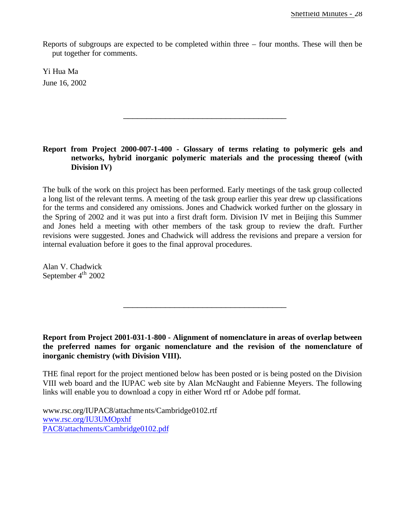Reports of subgroups are expected to be completed within three – four months. These will then be put together for comments.

Yi Hua Ma June 16, 2002

#### **Report from Project 2000-007-1-400 - Glossary of terms relating to polymeric gels and networks, hybrid inorganic polymeric materials and the processing thereof (with Division IV)**

\_\_\_\_\_\_\_\_\_\_\_\_\_\_\_\_\_\_\_\_\_\_\_\_\_\_\_\_\_\_\_\_\_\_\_

The bulk of the work on this project has been performed. Early meetings of the task group collected a long list of the relevant terms. A meeting of the task group earlier this year drew up classifications for the terms and considered any omissions. Jones and Chadwick worked further on the glossary in the Spring of 2002 and it was put into a first draft form. Division IV met in Beijing this Summer and Jones held a meeting with other members of the task group to review the draft. Further revisions were suggested. Jones and Chadwick will address the revisions and prepare a version for internal evaluation before it goes to the final approval procedures.

Alan V. Chadwick September  $4<sup>th</sup>$  2002

**Report from Project 2001-031-1-800 - Alignment of nomenclature in areas of overlap between the preferred names for organic nomenclature and the revision of the nomenclature of inorganic chemistry (with Division VIII).** 

\_\_\_\_\_\_\_\_\_\_\_\_\_\_\_\_\_\_\_\_\_\_\_\_\_\_\_\_\_\_\_\_\_\_\_

THE final report for the project mentioned below has been posted or is being posted on the Division VIII web board and the IUPAC web site by Alan McNaught and Fabienne Meyers. The following links will enable you to download a copy in either Word rtf or Adobe pdf format.

www.rsc.org/IUPAC8/attachments/Cambridge0102.rtf www.rsc.org/IU3UMOpxhf PAC8/attachments/Cambridge0102.pdf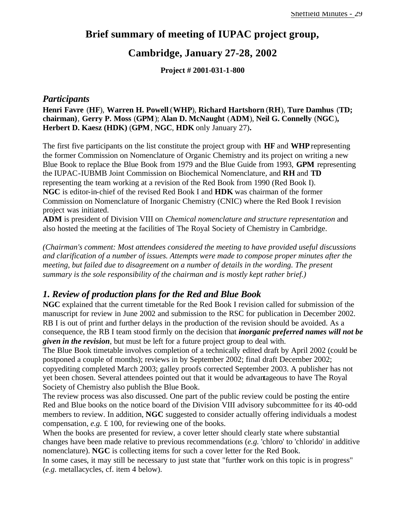### **Brief summary of meeting of IUPAC project group,**

### **Cambridge, January 27-28, 2002**

**Project # 2001-031-1-800**

#### *Participants*

**Henri Favre** (**HF**), **Warren H. Powell** (**WHP**), **Richard Hartshorn** (**RH**), **Ture Damhus** (**TD; chairman)**, **Gerry P. Moss** (**GPM**); **Alan D. McNaught** (**ADM**), **Neil G. Connelly** (**NGC**)**, Herbert D. Kaesz (HDK)** (**GPM**, **NGC**, **HDK** only January 27)**.**

The first five participants on the list constitute the project group with **HF** and **WHP** representing the former Commission on Nomenclature of Organic Chemistry and its project on writing a new Blue Book to replace the Blue Book from 1979 and the Blue Guide from 1993, **GPM** representing the IUPAC-IUBMB Joint Commission on Biochemical Nomenclature, and **RH** and **TD** representing the team working at a revision of the Red Book from 1990 (Red Book I). **NGC** is editor-in-chief of the revised Red Book I and **HDK** was chairman of the former Commission on Nomenclature of Inorganic Chemistry (CNIC) where the Red Book I revision project was initiated.

**ADM** is president of Division VIII on *Chemical nomenclature and structure representation* and also hosted the meeting at the facilities of The Royal Society of Chemistry in Cambridge.

*(Chairman's comment: Most attendees considered the meeting to have provided useful discussions and clarification of a number of issues. Attempts were made to compose proper minutes after the meeting, but failed due to disagreement on a number of details in the wording. The present summary is the sole responsibility of the chairman and is mostly kept rather brief.)* 

#### *1. Review of production plans for the Red and Blue Book*

**NGC** explained that the current timetable for the Red Book I revision called for submission of the manuscript for review in June 2002 and submission to the RSC for publication in December 2002. RB I is out of print and further delays in the production of the revision should be avoided. As a consequence, the RB I team stood firmly on the decision that *inorganic preferred names will not be given in the revision*, but must be left for a future project group to deal with.

The Blue Book timetable involves completion of a technically edited draft by April 2002 (could be postponed a couple of months); reviews in by September 2002; final draft December 2002; copyediting completed March 2003; galley proofs corrected September 2003. A publisher has not yet been chosen. Several attendees pointed out that it would be advantageous to have The Royal Society of Chemistry also publish the Blue Book.

The review process was also discussed. One part of the public review could be posting the entire Red and Blue books on the notice board of the Division VIII advisory subcommittee for its 40-odd members to review. In addition, **NGC** suggested to consider actually offering individuals a modest compensation, *e.g.* £ 100, for reviewing one of the books.

When the books are presented for review, a cover letter should clearly state where substantial changes have been made relative to previous recommendations (*e.g.* 'chloro' to 'chlorido' in additive nomenclature). **NGC** is collecting items for such a cover letter for the Red Book.

In some cases, it may still be necessary to just state that "further work on this topic is in progress" (*e.g.* metallacycles, cf. item 4 below).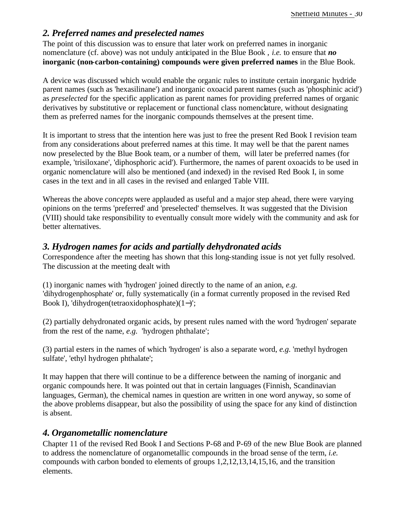#### *2. Preferred names and preselected names*

The point of this discussion was to ensure that later work on preferred names in inorganic nomenclature (cf. above) was not unduly anticipated in the Blue Book , *i.e.* to ensure that *no* **inorganic (non-carbon-containing) compounds were given preferred names** in the Blue Book.

A device was discussed which would enable the organic rules to institute certain inorganic hydride parent names (such as 'hexasilinane') and inorganic oxoacid parent names (such as 'phosphinic acid') as *preselected* for the specific application as parent names for providing preferred names of organic derivatives by substitutive or replacement or functional class nomenclature, without designating them as preferred names for the inorganic compounds themselves at the present time.

It is important to stress that the intention here was just to free the present Red Book I revision team from any considerations about preferred names at this time. It may well be that the parent names now preselected by the Blue Book team, or a number of them, will later be preferred names (for example, 'trisiloxane', 'diphosphoric acid'). Furthermore, the names of parent oxoacids to be used in organic nomenclature will also be mentioned (and indexed) in the revised Red Book I, in some cases in the text and in all cases in the revised and enlarged Table VIII.

Whereas the above *concepts* were applauded as useful and a major step ahead, there were varying opinions on the terms 'preferred' and 'preselected' themselves. It was suggested that the Division (VIII) should take responsibility to eventually consult more widely with the community and ask for better alternatives.

### *3. Hydrogen names for acids and partially dehydronated acids*

Correspondence after the meeting has shown that this long-standing issue is not yet fully resolved. The discussion at the meeting dealt with

(1) inorganic names with 'hydrogen' joined directly to the name of an anion, *e.g.* 'dihydrogenphosphate' or, fully systematically (in a format currently proposed in the revised Red Book I), 'dihydrogen(tetraoxidophosphate)(1−)';

(2) partially dehydronated organic acids, by present rules named with the word 'hydrogen' separate from the rest of the name, *e.g.* 'hydrogen phthalate';

(3) partial esters in the names of which 'hydrogen' is also a separate word, *e.g.* 'methyl hydrogen sulfate', 'ethyl hydrogen phthalate';

It may happen that there will continue to be a difference between the naming of inorganic and organic compounds here. It was pointed out that in certain languages (Finnish, Scandinavian languages, German), the chemical names in question are written in one word anyway, so some of the above problems disappear, but also the possibility of using the space for any kind of distinction is absent.

### *4. Organometallic nomenclature*

Chapter 11 of the revised Red Book I and Sections P-68 and P-69 of the new Blue Book are planned to address the nomenclature of organometallic compounds in the broad sense of the term, *i.e.* compounds with carbon bonded to elements of groups 1,2,12,13,14,15,16, and the transition elements.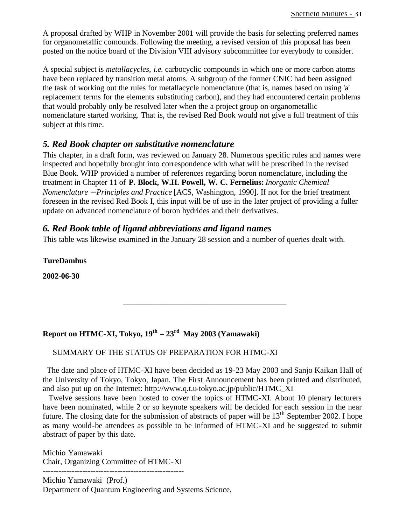A proposal drafted by WHP in November 2001 will provide the basis for selecting preferred names for organometallic comounds. Following the meeting, a revised version of this proposal has been posted on the notice board of the Division VIII advisory subcommittee for everybody to consider.

A special subject is *metallacycles*, *i.e.* carbocyclic compounds in which one or more carbon atoms have been replaced by transition metal atoms. A subgroup of the former CNIC had been assigned the task of working out the rules for metallacycle nomenclature (that is, names based on using 'a' replacement terms for the elements substituting carbon), and they had encountered certain problems that would probably only be resolved later when the a project group on organometallic nomenclature started working. That is, the revised Red Book would not give a full treatment of this subject at this time.

#### *5. Red Book chapter on substitutive nomenclature*

This chapter, in a draft form, was reviewed on January 28. Numerous specific rules and names were inspected and hopefully brought into correspondence with what will be prescribed in the revised Blue Book. WHP provided a number of references regarding boron nomenclature, including the treatment in Chapter 11 of **P. Block, W.H. Powell, W. C. Fernelius:** *Inorganic Chemical Nomenclature - Principles and Practice* [ACS, Washington, 1990]. If not for the brief treatment foreseen in the revised Red Book I, this input will be of use in the later project of providing a fuller update on advanced nomenclature of boron hydrides and their derivatives.

#### *6. Red Book table of ligand abbreviations and ligand names*

This table was likewise examined in the January 28 session and a number of queries dealt with.

**TureDamhus**

**2002-06-30**

#### **Report on HTMC-XI, Tokyo, 19th – 23rd May 2003 (Yamawaki)**

#### SUMMARY OF THE STATUS OF PREPARATION FOR HTMC-XI

 The date and place of HTMC-XI have been decided as 19-23 May 2003 and Sanjo Kaikan Hall of the University of Tokyo, Tokyo, Japan. The First Announcement has been printed and distributed, and also put up on the Internet: http://www.q.t.u-tokyo.ac.jp/public/HTMC\_XI

\_\_\_\_\_\_\_\_\_\_\_\_\_\_\_\_\_\_\_\_\_\_\_\_\_\_\_\_\_\_\_\_\_\_\_

 Twelve sessions have been hosted to cover the topics of HTMC-XI. About 10 plenary lecturers have been nominated, while 2 or so keynote speakers will be decided for each session in the near future. The closing date for the submission of abstracts of paper will be  $13<sup>th</sup>$  September 2002. I hope as many would-be attendees as possible to be informed of HTMC-XI and be suggested to submit abstract of paper by this date.

Michio Yamawaki Chair, Organizing Committee of HTMC-XI

----------------------------------------------------- Michio Yamawaki (Prof.) Department of Quantum Engineering and Systems Science,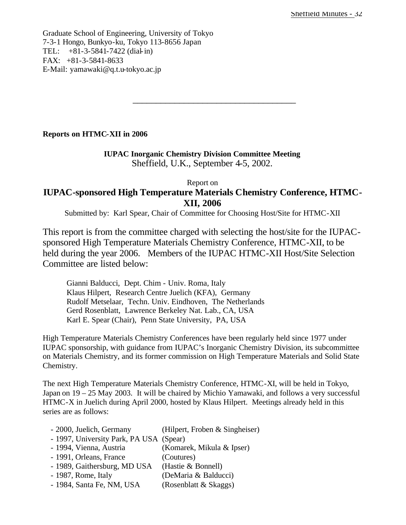Graduate School of Engineering, University of Tokyo 7-3-1 Hongo, Bunkyo-ku, Tokyo 113-8656 Japan TEL: +81-3-5841-7422 (dial-in) FAX: +81-3-5841-8633 E-Mail: yamawaki@q.t.u-tokyo.ac.jp

#### **Reports on HTMC-XII in 2006**

#### **IUPAC Inorganic Chemistry Division Committee Meeting** Sheffield, U.K., September 4-5, 2002.

\_\_\_\_\_\_\_\_\_\_\_\_\_\_\_\_\_\_\_\_\_\_\_\_\_\_\_\_\_\_\_\_\_\_\_

#### Report on **IUPAC-sponsored High Temperature Materials Chemistry Conference, HTMC-XII, 2006**

Submitted by: Karl Spear, Chair of Committee for Choosing Host/Site for HTMC-XII

This report is from the committee charged with selecting the host/site for the IUPACsponsored High Temperature Materials Chemistry Conference, HTMC-XII, to be held during the year 2006. Members of the IUPAC HTMC-XII Host/Site Selection Committee are listed below:

Gianni Balducci, Dept. Chim - Univ. Roma, Italy Klaus Hilpert, Research Centre Juelich (KFA), Germany Rudolf Metselaar, Techn. Univ. Eindhoven, The Netherlands Gerd Rosenblatt, Lawrence Berkeley Nat. Lab., CA, USA Karl E. Spear (Chair), Penn State University, PA, USA

High Temperature Materials Chemistry Conferences have been regularly held since 1977 under IUPAC sponsorship, with guidance from IUPAC's Inorganic Chemistry Division, its subcommittee on Materials Chemistry, and its former commission on High Temperature Materials and Solid State Chemistry.

The next High Temperature Materials Chemistry Conference, HTMC-XI, will be held in Tokyo, Japan on 19 – 25 May 2003. It will be chaired by Michio Yamawaki, and follows a very successful HTMC-X in Juelich during April 2000, hosted by Klaus Hilpert. Meetings already held in this series are as follows:

| - 2000, Juelich, Germany                | (Hilpert, Froben & Singheiser) |
|-----------------------------------------|--------------------------------|
| - 1997, University Park, PA USA (Spear) |                                |
| - 1994, Vienna, Austria                 | (Komarek, Mikula & Ipser)      |
| - 1991, Orleans, France                 | (Coutures)                     |
| - 1989, Gaithersburg, MD USA            | (Hastie & Bonnell)             |
| - 1987, Rome, Italy                     | (DeMaria & Balducci)           |
| - 1984, Santa Fe, NM, USA               | (Rosenblatt & Skaggs)          |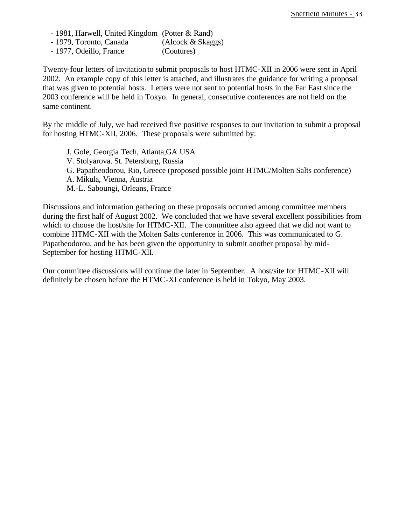- 1981, Harwell, United Kingdom (Potter & Rand)

- 1979, Toronto, Canada (Alcock & Skaggs)
- 1977, Odeillo, France (Coutures)

Twenty-four letters of invitation to submit proposals to host HTMC-XII in 2006 were sent in April 2002. An example copy of this letter is attached, and illustrates the guidance for writing a proposal that was given to potential hosts. Letters were not sent to potential hosts in the Far East since the 2003 conference will be held in Tokyo. In general, consecutive conferences are not held on the same continent.

By the middle of July, we had received five positive responses to our invitation to submit a proposal for hosting HTMC-XII, 2006. These proposals were submitted by:

J. Gole, Georgia Tech, Atlanta,GA USA V. Stolyarova. St. Petersburg, Russia G. Papatheodorou, Rio, Greece (proposed possible joint HTMC/Molten Salts conference) A. Mikula, Vienna, Austria M.-L. Saboungi, Orleans, France

Discussions and information gathering on these proposals occurred among committee members during the first half of August 2002. We concluded that we have several excellent possibilities from which to choose the host/site for HTMC-XII. The committee also agreed that we did not want to combine HTMC-XII with the Molten Salts conference in 2006. This was communicated to G. Papatheodorou, and he has been given the opportunity to submit another proposal by mid-September for hosting HTMC-XII.

Our committee discussions will continue the later in September. A host/site for HTMC-XII will definitely be chosen before the HTMC-XI conference is held in Tokyo, May 2003.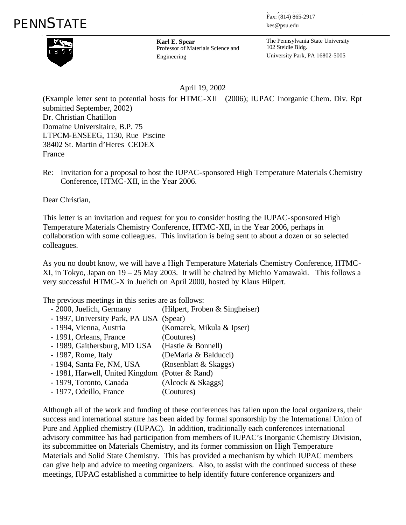

**Karl E. Spear Karl E. Spear** Professor of Materials Science and Professor of Materials Science and Engineering Engineering

 $\frac{1}{2}$  Fax: (814) 865-2917 (دید اللہ ور عالم) kes@psu.edu kes@psu.edu ربابا بابان ال<br>ماہ جات

The Pennsylvania State University The Pennsylvania State University 102 Steidle Bldg. 102 Steidle Bldg. University Park, PA 16802-5005 University Park, PA 16802-5005

April 19, 2002

(Example letter sent to potential hosts for HTMC-XII (2006); IUPAC Inorganic Chem. Div. Rpt submitted September, 2002) Dr. Christian Chatillon Domaine Universitaire, B.P. 75 LTPCM-ENSEEG, 1130, Rue Piscine 38402 St. Martin d'Heres CEDEX France

Re: Invitation for a proposal to host the IUPAC-sponsored High Temperature Materials Chemistry Conference, HTMC-XII, in the Year 2006.

Dear Christian,

This letter is an invitation and request for you to consider hosting the IUPAC-sponsored High Temperature Materials Chemistry Conference, HTMC-XII, in the Year 2006, perhaps in collaboration with some colleagues. This invitation is being sent to about a dozen or so selected colleagues.

As you no doubt know, we will have a High Temperature Materials Chemistry Conference, HTMC-XI, in Tokyo, Japan on 19 – 25 May 2003. It will be chaired by Michio Yamawaki. This follows a very successful HTMC-X in Juelich on April 2000, hosted by Klaus Hilpert.

The previous meetings in this series are as follows:

| - 2000, Juelich, Germany                        | (Hilpert, Froben & Singheiser) |
|-------------------------------------------------|--------------------------------|
| - 1997, University Park, PA USA (Spear)         |                                |
| - 1994, Vienna, Austria                         | (Komarek, Mikula & Ipser)      |
| - 1991, Orleans, France                         | (Coutures)                     |
| - 1989, Gaithersburg, MD USA                    | (Hastie & Bonnell)             |
| - 1987, Rome, Italy                             | (DeMaria & Balducci)           |
| - 1984, Santa Fe, NM, USA                       | (Rosenblatt & Skaggs)          |
| - 1981, Harwell, United Kingdom (Potter & Rand) |                                |
| - 1979, Toronto, Canada                         | (Alcock & Skaggs)              |
| - 1977, Odeillo, France                         | (Coutures)                     |
|                                                 |                                |

Although all of the work and funding of these conferences has fallen upon the local organize rs, their success and international stature has been aided by formal sponsorship by the International Union of Pure and Applied chemistry (IUPAC). In addition, traditionally each conferences international advisory committee has had participation from members of IUPAC's Inorganic Chemistry Division, its subcommittee on Materials Chemistry, and its former commission on High Temperature Materials and Solid State Chemistry. This has provided a mechanism by which IUPAC members can give help and advice to meeting organizers. Also, to assist with the continued success of these meetings, IUPAC established a committee to help identify future conference organizers and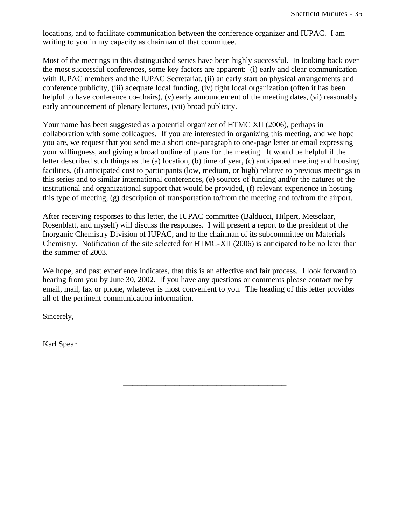locations, and to facilitate communication between the conference organizer and IUPAC. I am writing to you in my capacity as chairman of that committee.

Most of the meetings in this distinguished series have been highly successful. In looking back over the most successful conferences, some key factors are apparent: (i) early and clear communication with IUPAC members and the IUPAC Secretariat, (ii) an early start on physical arrangements and conference publicity, (iii) adequate local funding, (iv) tight local organization (often it has been helpful to have conference co-chairs), (v) early announcement of the meeting dates, (vi) reasonably early announcement of plenary lectures, (vii) broad publicity.

Your name has been suggested as a potential organizer of HTMC XII (2006), perhaps in collaboration with some colleagues. If you are interested in organizing this meeting, and we hope you are, we request that you send me a short one-paragraph to one-page letter or email expressing your willingness, and giving a broad outline of plans for the meeting. It would be helpful if the letter described such things as the (a) location, (b) time of year, (c) anticipated meeting and housing facilities, (d) anticipated cost to participants (low, medium, or high) relative to previous meetings in this series and to similar international conferences, (e) sources of funding and/or the natures of the institutional and organizational support that would be provided, (f) relevant experience in hosting this type of meeting, (g) description of transportation to/from the meeting and to/from the airport.

After receiving responses to this letter, the IUPAC committee (Balducci, Hilpert, Metselaar, Rosenblatt, and myself) will discuss the responses. I will present a report to the president of the Inorganic Chemistry Division of IUPAC, and to the chairman of its subcommittee on Materials Chemistry. Notification of the site selected for HTMC-XII (2006) is anticipated to be no later than the summer of 2003.

We hope, and past experience indicates, that this is an effective and fair process. I look forward to hearing from you by June 30, 2002. If you have any questions or comments please contact me by email, mail, fax or phone, whatever is most convenient to you. The heading of this letter provides all of the pertinent communication information.

\_\_\_\_\_\_\_\_\_\_\_\_\_\_\_\_\_\_\_\_\_\_\_\_\_\_\_\_\_\_\_\_\_\_\_

Sincerely,

Karl Spear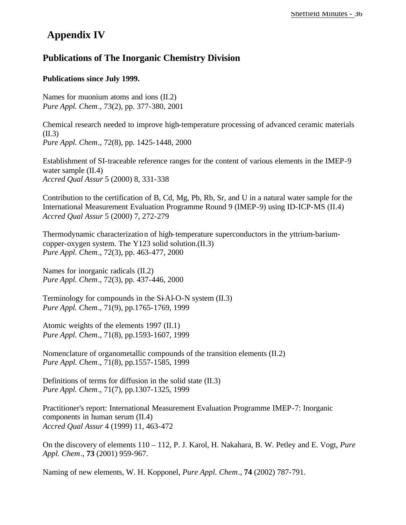## **Appendix IV**

### **Publications of The Inorganic Chemistry Division**

#### **Publications since July 1999.**

Names for muonium atoms and ions (II.2) *Pure Appl. Chem*., 73(2), pp. 377-380, 2001

Chemical research needed to improve high-temperature processing of advanced ceramic materials (II.3) *Pure Appl. Chem*., 72(8), pp. 1425-1448, 2000

Establishment of SI-traceable reference ranges for the content of various elements in the IMEP-9 water sample (II.4) *Accred Qual Assur* 5 (2000) 8, 331-338

Contribution to the certification of B, Cd, Mg, Pb, Rb, Sr, and U in a natural water sample for the International Measurement Evaluation Programme Round 9 (IMEP-9) using ID-ICP-MS (II.4) *Accred Qual Assur* 5 (2000) 7, 272-279

Thermodynamic characterization of high-temperature superconductors in the yttrium-bariumcopper-oxygen system. The Y123 solid solution.(II.3) *Pure Appl. Chem*., 72(3), pp. 463-477, 2000

Names for inorganic radicals (II.2) *Pure Appl. Chem*., 72(3), pp. 437-446, 2000

Terminology for compounds in the Si-Al-O-N system (II.3) *Pure Appl. Chem*., 71(9), pp.1765-1769, 1999

Atomic weights of the elements 1997 (II.1) *Pure Appl. Chem*., 71(8), pp.1593-1607, 1999

Nomenclature of organometallic compounds of the transition elements (II.2) *Pure Appl. Chem*., 71(8), pp.1557-1585, 1999

Definitions of terms for diffusion in the solid state (II.3) *Pure Appl. Chem*., 71(7), pp.1307-1325, 1999

Practitioner's report: International Measurement Evaluation Programme IMEP-7: Inorganic components in human serum (II.4) *Accred Qual Assur* 4 (1999) 11, 463-472

On the discovery of elements 110 – 112, P. J. Karol, H. Nakahara, B. W. Petley and E. Vogt, *Pure Appl. Chem*., **73** (2001) 959-967.

Naming of new elements, W. H. Kopponel, *Pure Appl. Chem*., **74** (2002) 787-791.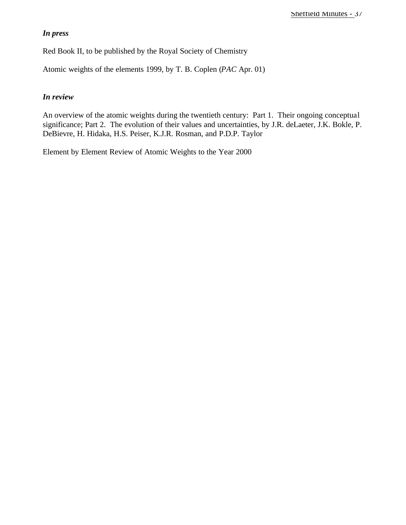#### *In press*

Red Book II, to be published by the Royal Society of Chemistry

Atomic weights of the elements 1999, by T. B. Coplen (*PAC* Apr. 01)

#### *In review*

An overview of the atomic weights during the twentieth century: Part 1. Their ongoing conceptual significance; Part 2. The evolution of their values and uncertainties, by J.R. deLaeter, J.K. Bokle, P. DeBievre, H. Hidaka, H.S. Peiser, K.J.R. Rosman, and P.D.P. Taylor

Element by Element Review of Atomic Weights to the Year 2000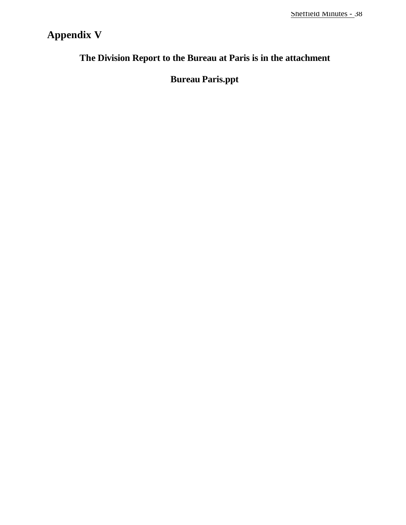## **Appendix V**

## **The Division Report to the Bureau at Paris is in the attachment**

## **Bureau Paris.ppt**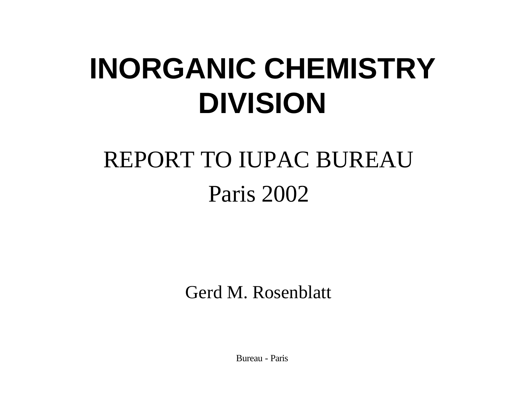# **INORGANIC CHEMISTRY DIVISION**

# REPORT TO IUPAC BUREAU Paris 2002

Gerd M. Rosenblatt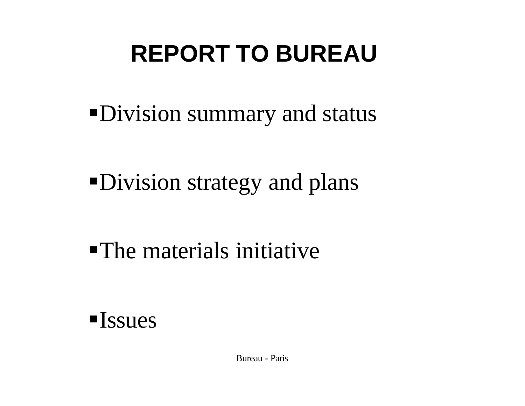# **REPORT TO BUREAU**

• Division summary and status

•Division strategy and plans

 $\blacksquare$  The materials initiative

 $\blacksquare$  Issues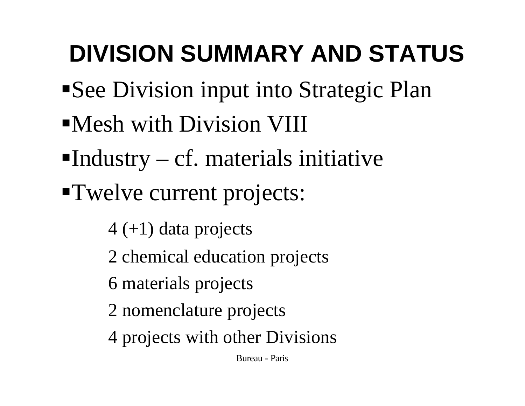# **DIVISION SUMMARY AND STATUS**

- ■See Division input into Strategic Plan
- **Nesh with Division VIII**
- Industry cf. materials initiative
- **Twelve current projects:** 
	- $4 (+1)$  data projects
	- 2 chemical education projects
	- 6 materials projects
	- 2 nomenclature projects
	- 4 projects with other Divisions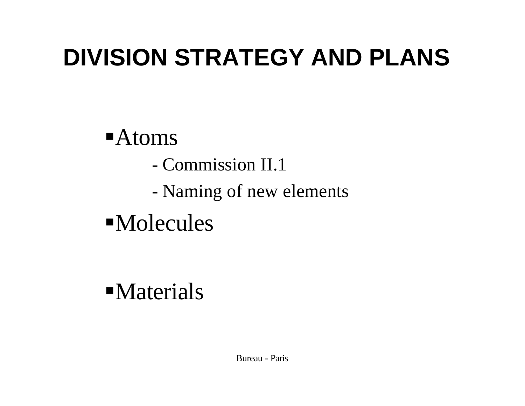## **DIVISION STRATEGY AND PLANS**

## ßAtoms

- Commission II.1
- Naming of new elements
- $\n **Molecules**\n$

## $\n *Materials*\n$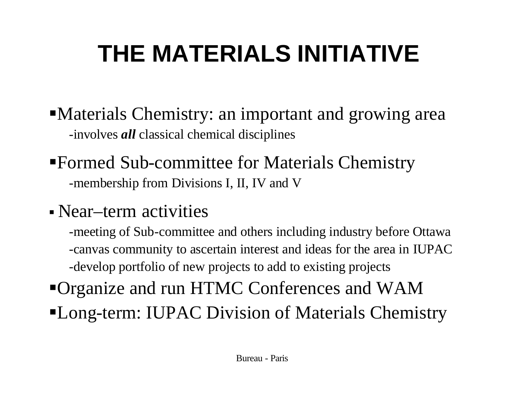# **THE MATERIALS INITIATIVE**

- Materials Chemistry: an important and growing area -involves *all* classical chemical disciplines
- ßFormed Sub-committee for Materials Chemistry -membership from Divisions I, II, IV and V
- Near–term activities
	- -meeting of Sub-committee and others including industry before Ottawa -canvas community to ascertain interest and ideas for the area in IUPAC -develop portfolio of new projects to add to existing projects
- ßOrganize and run HTMC Conferences and WAM
- **Long-term: IUPAC Division of Materials Chemistry**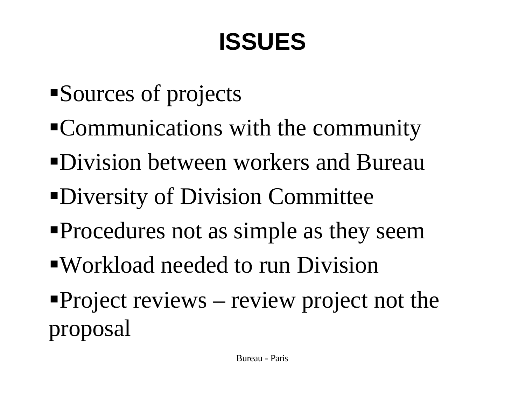# **ISSUES**

- Sources of projects
- ßCommunications with the community
- Division between workers and Bureau
- Diversity of Division Committee
- ßProcedures not as simple as they seem
- ßWorkload needed to run Division
- Project reviews review project not the proposal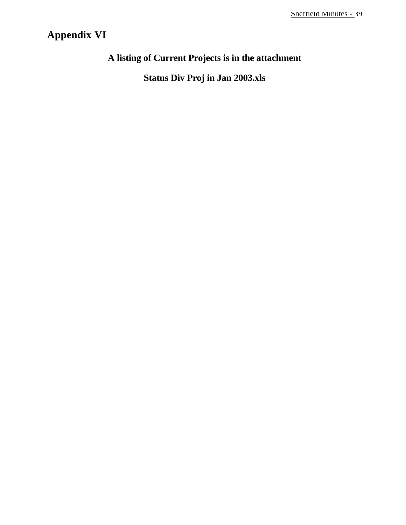## **Appendix VI**

## **A listing of Current Projects is in the attachment**

**Status Div Proj in Jan 2003.xls**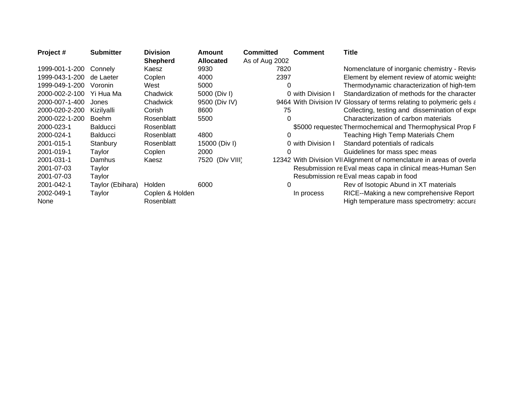| Project#                 | <b>Submitter</b> | <b>Division</b> | Amount           | <b>Committed</b> | <b>Comment</b>    | <b>Title</b>                                                         |
|--------------------------|------------------|-----------------|------------------|------------------|-------------------|----------------------------------------------------------------------|
|                          |                  | Shepherd        | <b>Allocated</b> | As of Aug 2002   |                   |                                                                      |
| 1999-001-1-200           | Connely          | Kaesz           | 9930             | 7820             |                   | Nomenclature of inorganic chemistry - Revise                         |
| 1999-043-1-200 de Laeter |                  | Coplen          | 4000             | 2397             |                   | Element by element review of atomic weights                          |
| 1999-049-1-200           | Voronin          | West            | 5000             |                  |                   | Thermodynamic characterization of high-tem                           |
| 2000-002-2-100 Yi Hua Ma |                  | Chadwick        | 5000 (Div I)     |                  | 0 with Division I | Standardization of methods for the character                         |
| 2000-007-1-400 Jones     |                  | Chadwick        | 9500 (Div IV)    |                  |                   | 9464 With Division IV Glossary of terms relating to polymeric gels a |
| 2000-020-2-200           | Kizilvalli       | Corish          | 8600             | 75               |                   | Collecting, testing and dissemination of experi-                     |
| 2000-022-1-200           | Boehm            | Rosenblatt      | 5500             |                  |                   | Characterization of carbon materials                                 |
| 2000-023-1               | Balducci         | Rosenblatt      |                  |                  |                   | \$5000 requestec Thermochemical and Thermophysical Prop F            |
| 2000-024-1               | <b>Balducci</b>  | Rosenblatt      | 4800             |                  |                   | Teaching High Temp Materials Chem                                    |
| 2001-015-1               | Stanbury         | Rosenblatt      | 15000 (Div I)    |                  | 0 with Division   | Standard potentials of radicals                                      |
| 2001-019-1               | Taylor           | Coplen          | 2000             |                  |                   | Guidelines for mass spec meas                                        |
| 2001-031-1               | Damhus           | Kaesz           | 7520 (Div VIII)  |                  |                   | 12342 With Division VII Alignment of nomenclature in areas of overla |
| 2001-07-03               | Taylor           |                 |                  |                  |                   | Resubmission re Eval meas capa in clinical meas-Human Ser            |
| 2001-07-03               | Taylor           |                 |                  |                  |                   | Resubmission re Eval meas capab in food                              |
| 2001-042-1               | Taylor (Ebihara) | Holden          | 6000             |                  |                   | Rev of Isotopic Abund in XT materials                                |
| 2002-049-1               | Taylor           | Coplen & Holden |                  |                  | In process        | RICE--Making a new comprehensive Report                              |
| None                     |                  | Rosenblatt      |                  |                  |                   | High temperature mass spectrometry: accural                          |